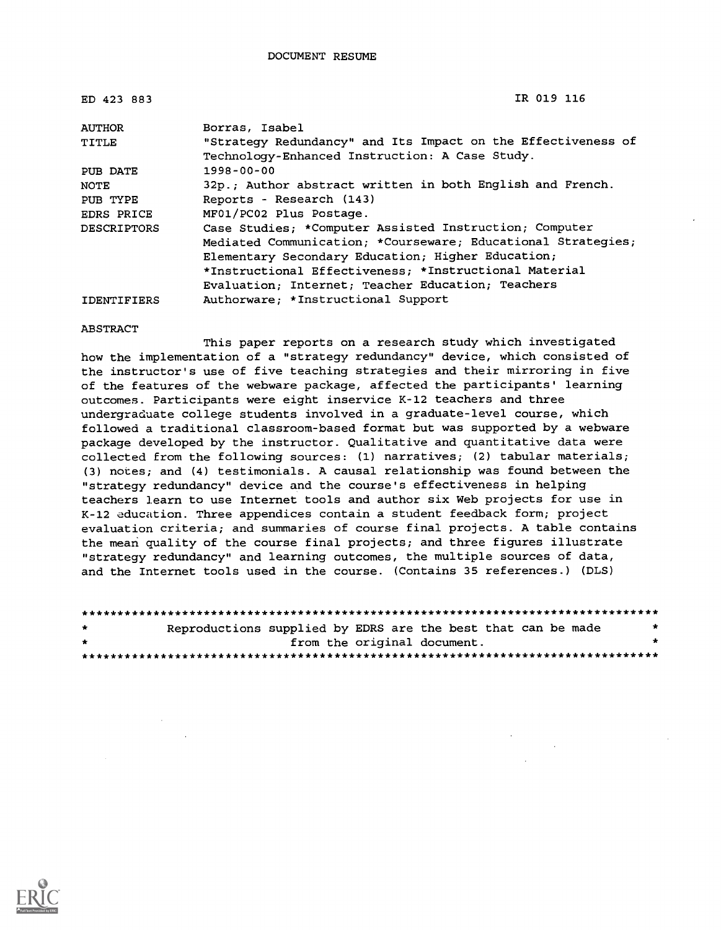| ED 423 883         | IR 019 116                                                   |
|--------------------|--------------------------------------------------------------|
| <b>AUTHOR</b>      | Borras, Isabel                                               |
| TITLE              | "Strategy Redundancy" and Its Impact on the Effectiveness of |
|                    | Technology-Enhanced Instruction: A Case Study.               |
| PUB DATE           | $1998 - 00 - 00$                                             |
| <b>NOTE</b>        | 32p.; Author abstract written in both English and French.    |
| PUB TYPE           | Reports - Research (143)                                     |
| EDRS PRICE         | MF01/PC02 Plus Postage.                                      |
| <b>DESCRIPTORS</b> | Case Studies; *Computer Assisted Instruction; Computer       |
|                    | Mediated Communication; *Courseware; Educational Strategies; |
|                    | Elementary Secondary Education; Higher Education;            |
|                    | *Instructional Effectiveness; *Instructional Material        |
|                    | Evaluation; Internet; Teacher Education; Teachers            |
| IDENTIFIERS        | Authorware: *Instructional Support                           |

#### ABSTRACT

This paper reports on a research study which investigated how the implementation of a "strategy redundancy" device, which consisted of the instructor's use of five teaching strategies and their mirroring in five of the features of the webware package, affected the participants' learning outcomes. Participants were eight inservice K-12 teachers and three undergraduate college students involved in a graduate-level course, which followed a traditional classroom-based format but was supported by a webware package developed by the instructor. Qualitative and quantitative data were collected from the following sources: (1) narratives; (2) tabular materials; (3) notes; and (4) testimonials. A causal relationship was found between the "strategy redundancy" device and the course's effectiveness in helping teachers learn to use Internet tools and author six Web projects for use in K-12 education. Three appendices contain a student feedback form; project evaluation criteria; and summaries of course final projects. A table contains the mean quality of the course final projects; and three figures illustrate "strategy redundancy" and learning outcomes, the multiple sources of data, and the Internet tools used in the course. (Contains 35 references.) (DLS)

| $\star$      | Reproductions supplied by EDRS are the best that can be made |                             |  |  | - 10 |
|--------------|--------------------------------------------------------------|-----------------------------|--|--|------|
| $\mathbf{r}$ |                                                              | from the original document. |  |  |      |
|              |                                                              |                             |  |  |      |

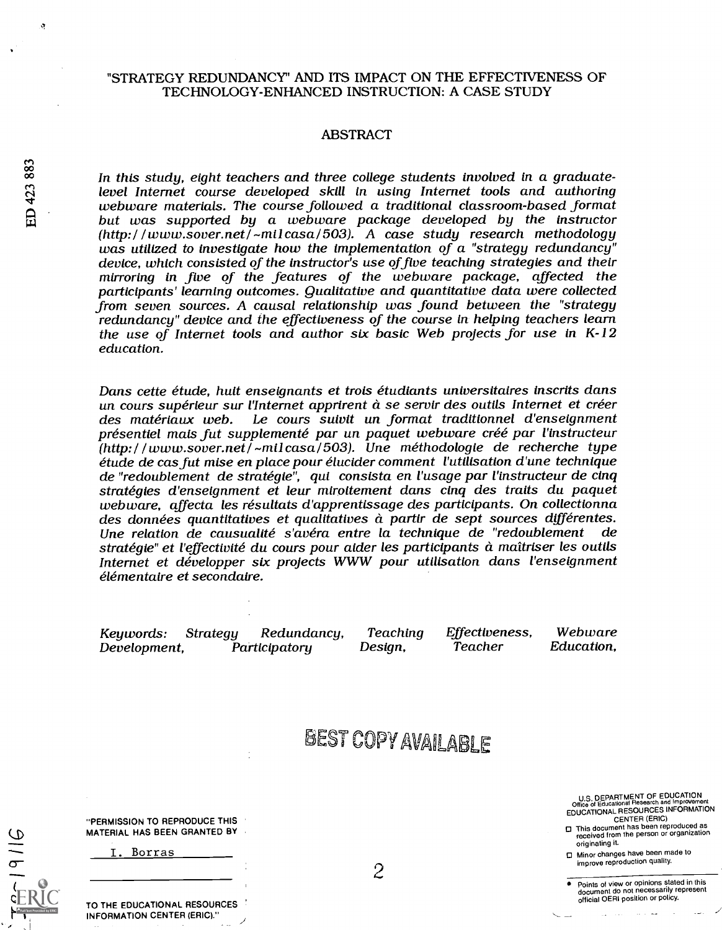### "STRATEGY REDUNDANCY' AND ITS IMPACT ON THE EFFECTIVENESS OF TECHNOLOGY-ENHANCED INSTRUCTION: A CASE STUDY

#### ABSTRACT

co In this study, eight teachers and three college students involved in a graduate-<br>The level Internet course developed skill in using Internet tools and authoring<br>webware materials. The course followed a traditional class webware materials. The course followed a traditional classroom-based format<br>but was supported by a webware package developed by the instructor<br>(http://www.sover.net/~milcasa/503). A case study research methodology was utilized to investigate how the implementation of a "strategy redundancy" device, which consisted of the instructor's use of five teaching strategies and their mirroring in five of the features of the webware package, affected the participants' learning outcomes. Qualitative and quantitative data were collected from seven sources. A causal relationship was found between the "strategy redundancy" device and the effectiveness of the course in helping teachers learn the use of Internet tools and author six basic Web projects for use in  $K-12$ education.

> Dans cette étude, huit enseignants et trois étudiants universitaires inscrits dans<br>un cours supérieur sur l'Internet apprirent à se servir des outils Internet et créer<br>des matériaux web. Le cours suivit un format tradition (http:/ / www.sover.net/ -milcasa/ 503). Une méthodologie de recherche type étude de casfut mise en place pour élucider comment l'utilisation d'une technique de "redoublement de stratégie", qui consista en l'usage par l'instructeur de cinq webware, affecta les résultats d'apprentissage des participants. On collectionna<br>des données quantitatives et qualitatives à partir de sept sources différentes.<br>Une relation de causualité s'avéra entre la technique de "red stratégie" et l'effectivité du cours pour aider les participants à maîtriser les outils Internet et développer six projects WWW pour utilisation dans l'enseignment élémentaire et secondaire.

Development, Participatory

Keywords: Strategy Redundancy, Teaching Effectiveness, Webware

# BEST COPY AVAILABLE

U.S. DEPARTMENT OF EDUCATION<br>ffice of Educational Research and Improveme Office of Educational Research and Improvement EDUCATIONAL RESOURCES INFORMATION

CENTER (ERIC) O This document has been reproduced as received from the person or organization originating it.

O Minor changes have been made to improve reproduction quality.

Points of view or opinions stated in this document do not necessarily represent official OERI position or policy.

"PERMISSION TO REPRODUCE THIS MATERIAL HAS BEEN GRANTED BY

|  | Borras |  |
|--|--------|--|
|  |        |  |

TO THE EDUCATIONAL RESOURCES INFORMATION CENTER (ERIC)."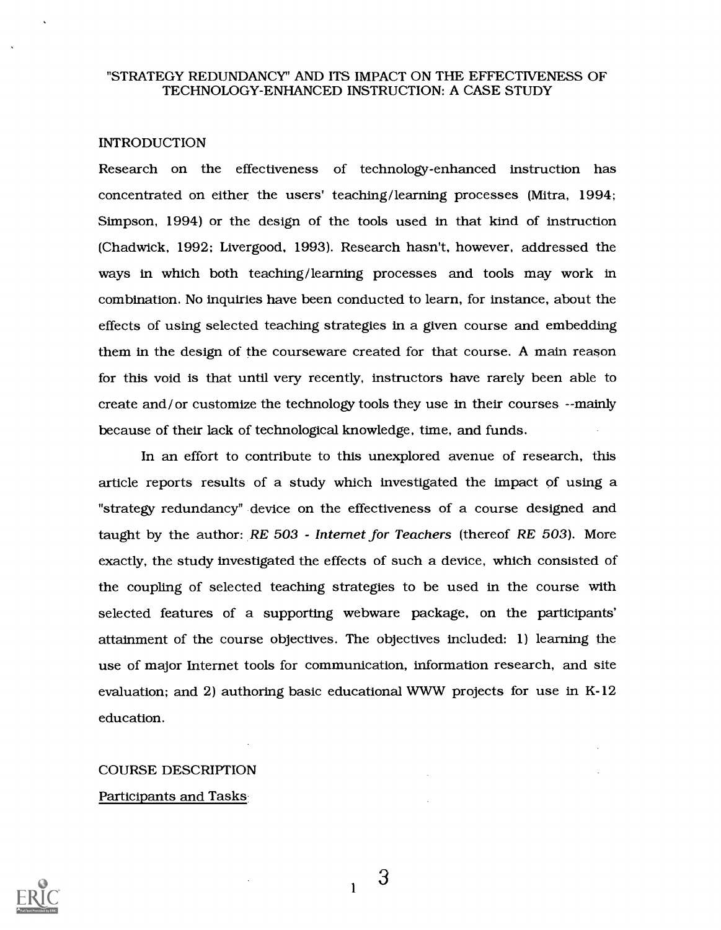#### "STRATEGY REDUNDANCY" AND ITS IMPACT ON THE EFFECTIVENESS OF TECHNOLOGY-ENHANCED INSTRUCTION: A CASE STUDY

#### INTRODUCTION

Research on the effectiveness of technology-enhanced instruction has concentrated on either the users' teaching/learning processes (Mitra, 1994; Simpson, 1994) or the design of the tools used in that kind of instruction (Chadwick, 1992; Livergood, 1993). Research hasn't, however, addressed the ways in which both teaching/learning processes and tools may work in combination. No inquiries have been conducted to learn, for instance, about the effects of using selected teaching strategies in a given course and embedding them in the design of the courseware created for that course. A main reason for this void is that until very recently, instructors have rarely been able to create and/or customize the technology tools they use in their courses --mainly because of their lack of technological knowledge, time, and funds.

In an effort to contribute to this unexplored avenue of research, this article reports results of a study which investigated the impact of using a "strategy redundancy" device on the effectiveness of a course designed and taught by the author: RE 503 - Internet for Teachers (thereof RE 503). More exactly, the study investigated the effects of such a device, which consisted of the coupling of selected teaching strategies to be used in the course with selected features of a supporting webware package, on the participants' attainment of the course objectives. The objectives included: 1) learning the use of major Internet tools for communication, information research, and site evaluation; and 2) authoring basic educational WWW projects for use in K-12 education.

# COURSE DESCRIPTION Participants and Tasks

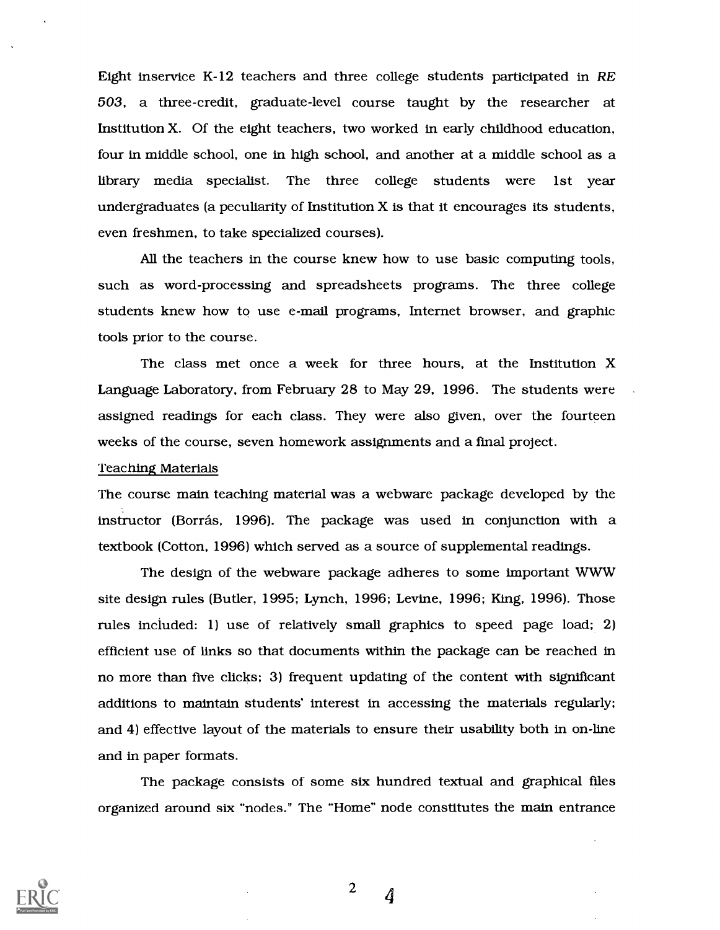Eight inservice K-12 teachers and three college students participated in RE 503, a three-credit, graduate-level course taught by the researcher at Institution X. Of the eight teachers, two worked in early childhood education, four in middle school, one in high school, and another at a middle school as a library media specialist. The three college students were 1st year undergraduates (a peculiarity of Institution  $X$  is that it encourages its students, even freshmen, to take specialized courses).

All the teachers in the course knew how to use basic computing tools, such as word-processing and spreadsheets programs. The three college students knew how to use e-mail programs, Internet browser, and graphic tools prior to the course.

The class met once a week for three hours, at the Institution X Language Laboratory, from February 28 to May 29, 1996. The students were assigned readings for each class. They were also given, over the fourteen weeks of the course, seven homework assignments and a final project.

#### Teaching Materials

The course main teaching material was a webware package developed by the instructor (Borras, 1996). The package was used in conjunction with a textbook (Cotton, 1996) which served as a source of supplemental readings.

The design of the webware package adheres to some important WWW site design rules (Butler, 1995; Lynch, 1996; Levine, 1996; King, 1996). Those rules inciuded: 1) use of relatively small graphics to speed page load; 2) efficient use of links so that documents within the package can be reached in no more than five clicks; 3) frequent updating of the content with significant additions to maintain students' interest in accessing the materials regularly; and 4) effective layout of the materials to ensure their usability both in on-line and in paper formats.

The package consists of some six hundred textual and graphical files organized around six "nodes." The "Home" node constitutes the main entrance



<sup>2</sup>  $\frac{4}{3}$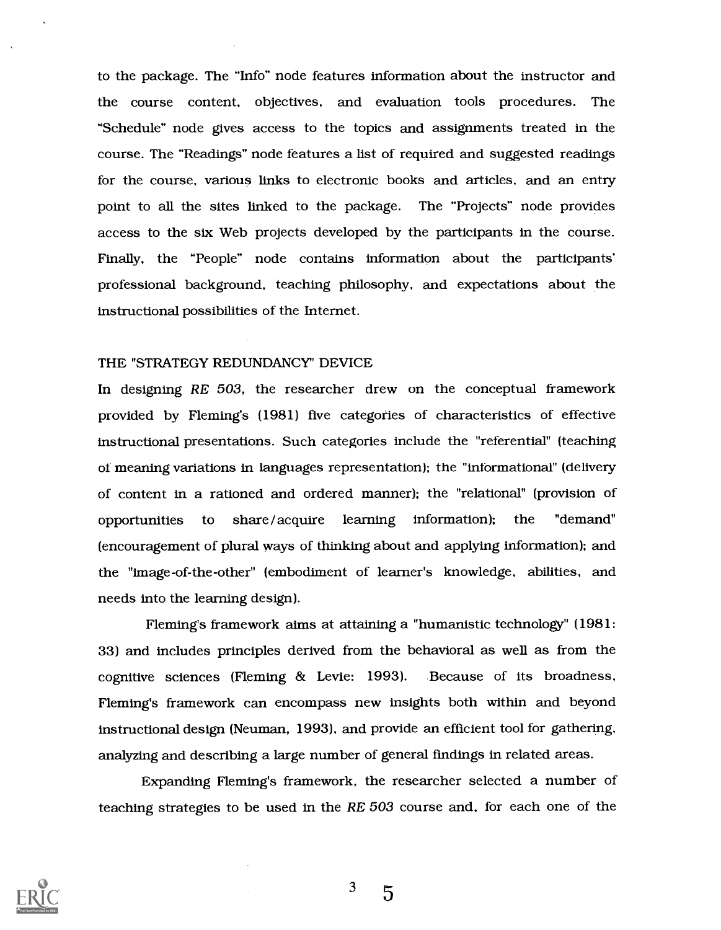to the package. The "Info" node features information about the instructor and the course content, objectives, and evaluation tools procedures. The "Schedule" node gives access to the topics and assignments treated in the course. The "Readings" node features a list of required and suggested readings for the course, various links to electronic books and articles, and an entry point to all the sites linked to the package. The "Projects" node provides access to the six Web projects developed by the participants in the course. Finally, the "People" node contains information about the participants' professional background, teaching philosophy, and expectations about the instructional possibilities of the Internet.

#### THE "STRATEGY REDUNDANCY' DEVICE

In designing RE 503, the researcher drew on the conceptual framework provided by Fleming's (1981) five categories of characteristics of effective instructional presentations. Such categories include the "referential" (teaching of meaning variations in languages representation); the "informational" (delivery of content in a rationed and ordered manner); the "relational" (provision of opportunities to share/acquire learning information); the "demand" (encouragement of plural ways of thinking about and applying information); and the "image-of-the-other" (embodiment of learner's knowledge, abilities, and needs into the learning design).

Fleming's framework aims at attaining a "humanistic technology" (1981: 33) and includes principles derived from the behavioral as well as from the cognitive sciences (Fleming & Levie: 1993). Because of its broadness, Fleming's framework can encompass new insights both within and beyond instructional design (Neuman, 1993), and provide an efficient tool for gathering, analyzing and describing a large number of general findings in related areas.

Expanding Fleming's framework, the researcher selected a number of teaching strategies to be used in the RE 503 course and, for each one of the



 $3\overline{5}$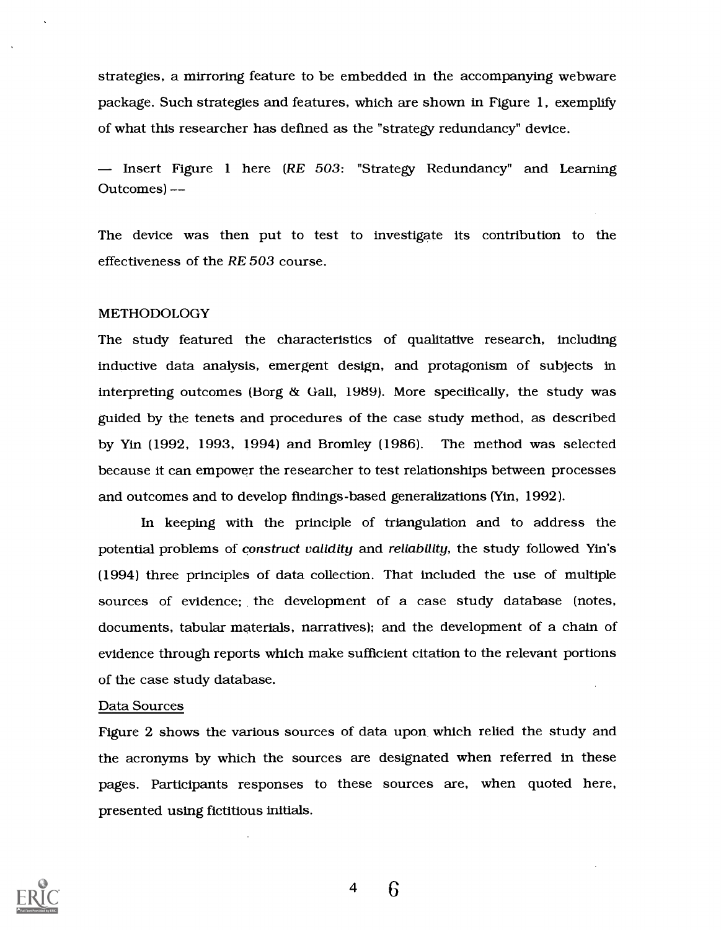strategies, a mirroring feature to be embedded in the accompanying webware package. Such strategies and features, which are shown in Figure 1, exemplify of what this researcher has defined as the "strategy redundancy" device.

 $-$  Insert Figure 1 here (RE 503: "Strategy Redundancy" and Learning Outcomes)

The device was then put to test to investigate its contribution to the effectiveness of the RE 503 course.

#### METHODOLOGY

The study featured the characteristics of qualitative research, including inductive data analysis, emergent design, and protagonism of subjects in interpreting outcomes (Borg & Gall, 1989). More specifically, the study was guided by the tenets and procedures of the case study method, as described by Yin (1992, 1993, 1994) and Bromley (1986). The method was selected because it can empower the researcher to test relationships between processes and outcomes and to develop fmdings-based generalizations (Yin, 1992).

In keeping with the principle of triangulation and to address the potential problems of construct validity and reliability, the study followed Yin's (1994) three principles of data collection. That included the use of multiple sources of evidence; the development of a case study database (notes, documents, tabular materials, narratives); and the development of a chain of evidence through reports which make sufficient citation to the relevant portions of the case study database.

#### Data Sources

Figure 2 shows the various sources of data upon which relied the study and the acronyms by which the sources are designated when referred in these pages. Participants responses to these sources are, when quoted here, presented using fictitious initials.

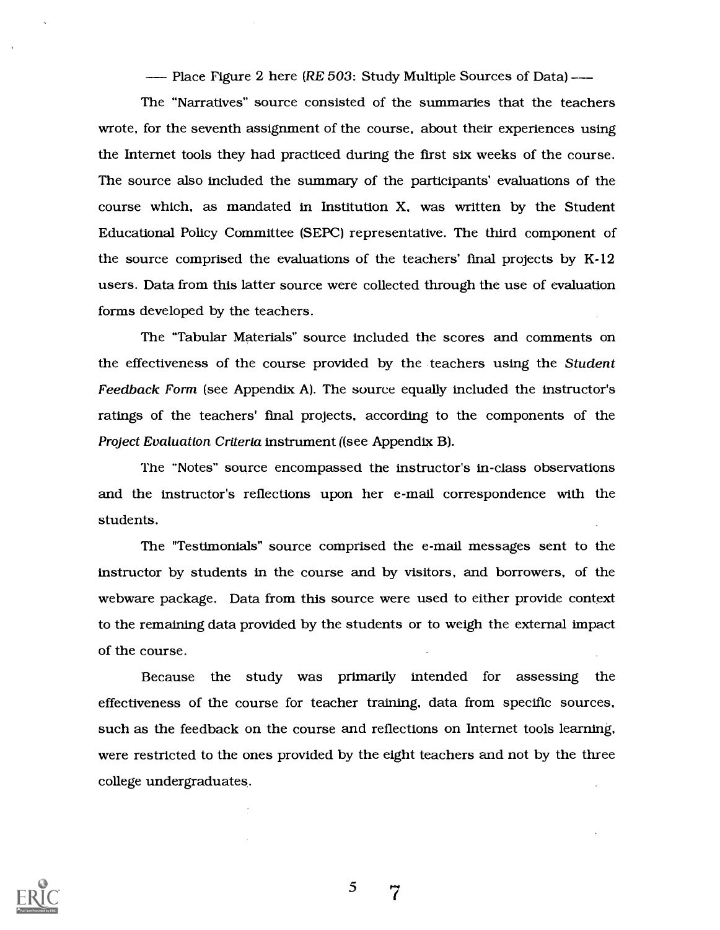- Place Figure 2 here (RE 503: Study Multiple Sources of Data) --

The "Narratives" source consisted of the summaries that the teachers wrote, for the seventh assignment of the course, about their experiences using the Internet tools they had practiced during the first six weeks of the course. The source also included the summary of the participants' evaluations of the course which, as mandated in Institution X, was written by the Student Educational Policy Committee (SEPC) representative. The third component of the source comprised the evaluations of the teachers' final projects by K-12 users. Data from this latter source were collected through the use of evaluation forms developed by the teachers.

The "Tabular Materials" source included the scores and comments on the effectiveness of the course provided by the teachers using the Student Feedback Form (see Appendix A). The source equally included the instructor's ratings of the teachers' fmal projects, according to the components of the Project Evaluation Criteria instrument ((see Appendix B).

The "Notes" source encompassed the instructor's in-class observations and the instructor's reflections upon her e-mail correspondence with the students.

The "Testimonials" source comprised the e-mail messages sent to the instructor by students in the course and by visitors, and borrowers, of the webware package. Data from this source were used to either provide context to the remaining data provided by the students or to weigh the external impact of the course.

Because the study was primarily intended for assessing the effectiveness of the course for teacher training, data from specific sources, such as the feedback on the course and reflections on Internet tools learning, were restricted to the ones provided by the eight teachers and not by the three college undergraduates.

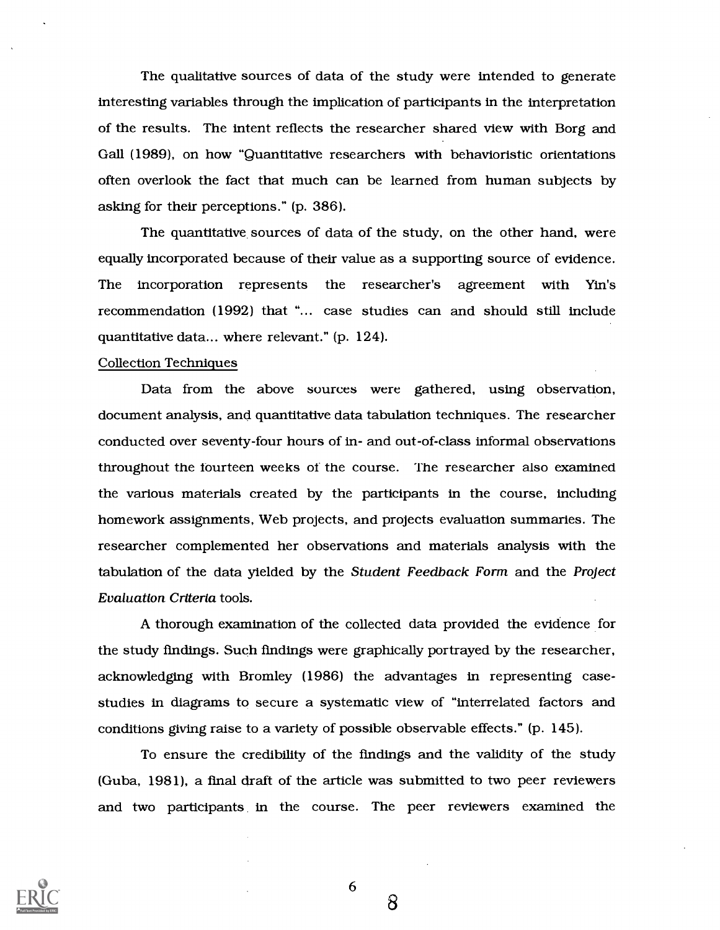The qualitative sources of data of the study were intended to generate interesting variables through the implication of participants in the interpretation of the results. The intent reflects the researcher shared view with Borg and Gall (1989), on how "Quantitative researchers with behavioristic orientations often overlook the fact that much can be learned from human subjects by asking for their perceptions." (p. 386).

The quantitative sources of data of the study, on the other hand, were equally incorporated because of their value as a supporting source of evidence. The incorporation represents the researcher's agreement with Yin's recommendation (1992) that "... case studies can and should still include quantitative data... where relevant." (p. 124).

#### Collection Techniques

Data from the above sources were gathered, using observation, document analysis, and quantitative data tabulation techniques. The researcher conducted over seventy-four hours of in- and out-of-class informal observations throughout the fourteen weeks of the course. The researcher also examined the various materials created by the participants in the course, including homework assignments, Web projects, and projects evaluation summaries. The researcher complemented her observations and materials analysis with the tabulation of the data yielded by the Student Feedback Form and the Project Evaluation Criteria tools.

A thorough examination of the collected data provided the evidence for the study findings. Such findings were graphically portrayed by the researcher, acknowledging with Bromley (1986) the advantages in representing casestudies in diagrams to secure a systematic view of "interrelated factors and conditions giving raise to a variety of possible observable effects." (p. 145).

To ensure the credibility of the findings and the validity of the study (Guba, 1981), a final draft of the article was submitted to two peer reviewers and two participants in the course. The peer reviewers examined the



6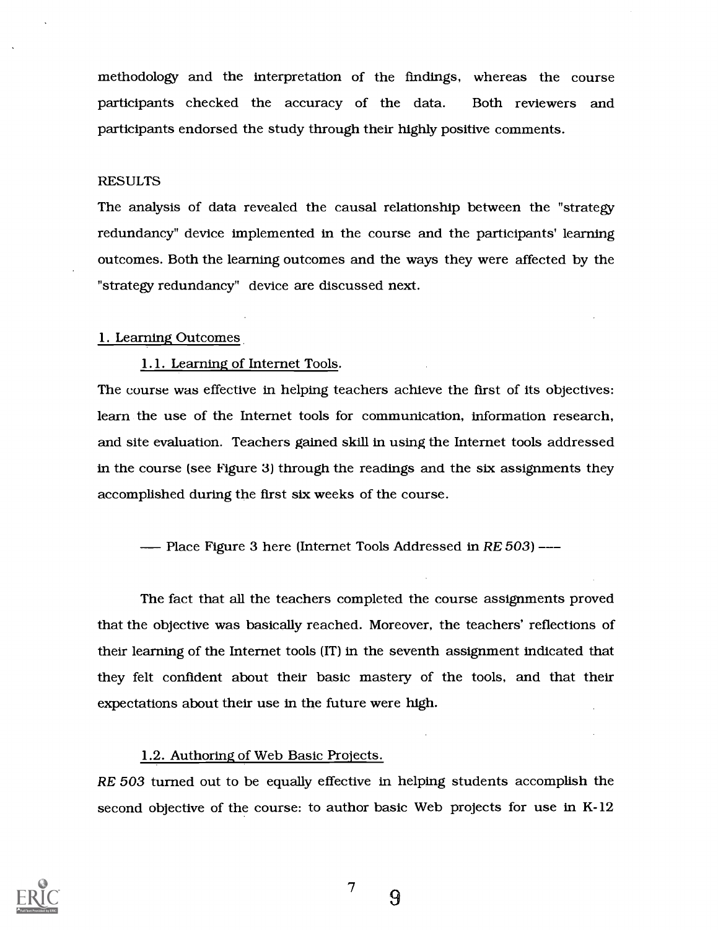methodology and the interpretation of the findings, whereas the course participants checked the accuracy of the data. Both reviewers and participants endorsed the study through their highly positive comments.

#### RESULTS

The analysis of data revealed the causal relationship between the "strategy redundancy" device implemented in the course and the participants' learning outcomes. Both the learning outcomes and the ways they were affected by the "strategy redundancy" device are discussed next.

#### 1. Learning Outcomes

#### 1.1. Learning of Internet Tools.

The course was effective in helping teachers achieve the first of its objectives: learn the use of the Internet tools for communication, information research, and site evaluation. Teachers gained skill in using the Internet tools addressed in the course (see Figure 3) through the readings and the six assignments they accomplished during the first six weeks of the course.

--- Place Figure 3 here (Internet Tools Addressed in RE 503)---

The fact that all the teachers completed the course assignments proved that the objective was basically reached. Moreover, the teachers' reflections of their learning of the Internet tools (IT) in the seventh assignment indicated that they felt confident about their basic mastery of the tools, and that their expectations about their use in the future were high.

#### 1.2. Authoring of Web Basic Projects.

RE 503 turned out to be equally effective in helping students accomplish the second objective of the course: to author basic Web projects for use in K-12



7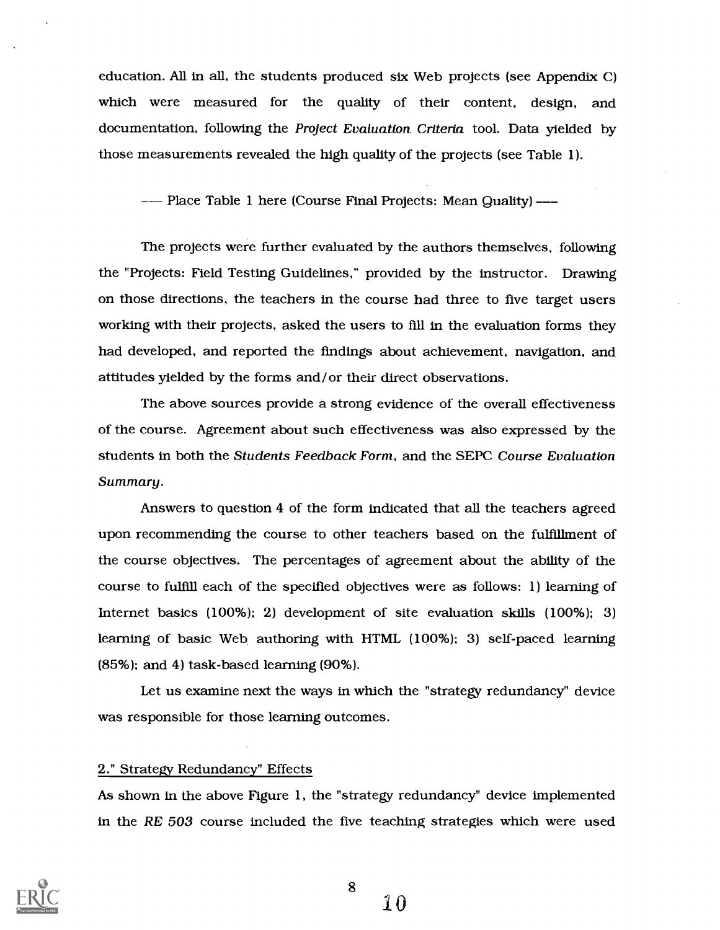education. All in all, the students produced six Web projects (see Appendix C) which were measured for the quality of their content, design, and documentation, following the Project Evaluation Criteria tool. Data yielded by those measurements revealed the high quality of the projects (see Table 1).

-- Place Table 1 here (Course Final Projects: Mean Quality) ---

The projects were further evaluated by the authors themselves, following the "Projects: Field Testing Guidelines," provided by the instructor. Drawing on those directions, the teachers in the course had three to five target users working with their projects, asked the users to fill in the evaluation forms they had developed, and reported the findings about achievement, navigation, and attitudes yielded by the forms and/or their direct observations.

The above sources provide a strong evidence of the overall effectiveness of the course. Agreement about such effectiveness was also expressed by the students in both the Students Feedback Form, and the SEPC Course Evaluation Summary.

Answers to question 4 of the form indicated that all the teachers agreed upon recommending the course to other teachers based on the fulfillment of the course objectives. The percentages of agreement about the ability of the course to fulfill each of the specified objectives were as follows: 1) learning of Internet basics (100%); 2) development of site evaluation skills (100%); 3) learning of basic Web authoring with HTML (100%); 3) self-paced learning (85%); and 4) task-based learning (90%).

Let us examine next the ways in which the "strategy redundancy" device was responsible for those learning outcomes.

#### 2." Strategy Redundancy" Effects

As shown in the above Figure 1, the "strategy redundancy" device implemented in the RE 503 course included the five teaching strategies which were used

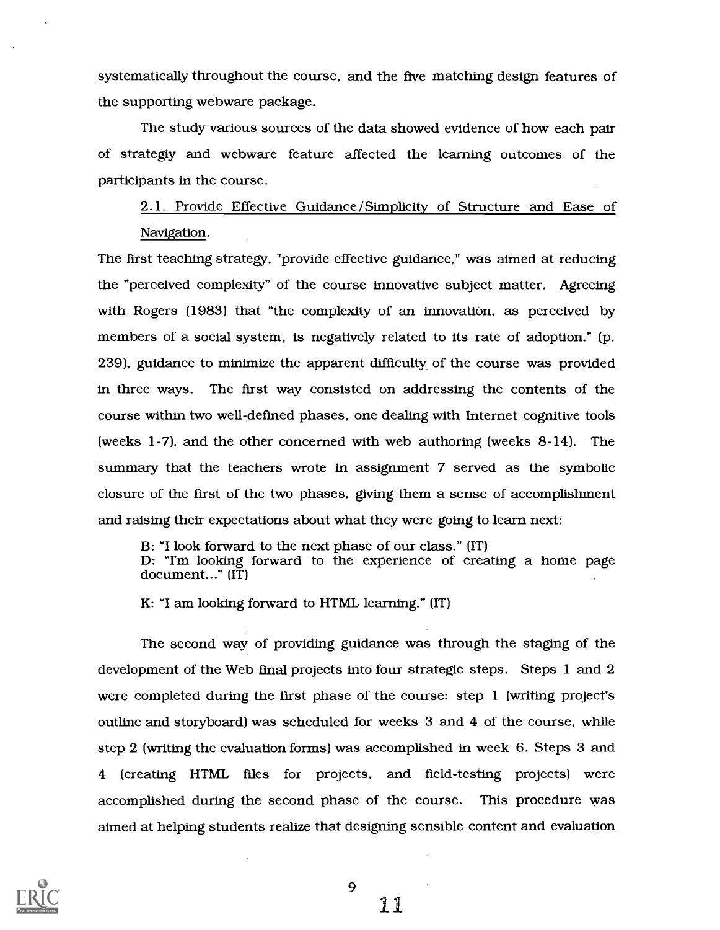systematically throughout the course, and the five matching design features of the supporting webware package.

The study various sources of the data showed evidence of how each pair of strategiy and webware feature affected the learning outcomes of the participants in the course.

2.1. Provide Effective Guidance/Simplicity of Structure and Ease of Navigation.

The first teaching strategy, "provide effective guidance," was aimed at reducing the "perceived complexity" of the course innovative subject matter. Agreeing with Rogers (1983) that "the complexity of an innovation, as perceived by members of a social system, is negatively related to its rate of adoption." (p. 239), guidance to minimize the apparent difficulty of the course was provided in three ways. The first way consisted on addressing the contents of the course within two well-defined phases, one dealing with Internet cognitive tools (weeks 1-7), and the other concerned with web authoring (weeks 8-14). The summary that the teachers wrote in assignment 7 served as the symbolic closure of the first of the two phases, giving them a sense of accomplishment and raising their expectations about what they were going to learn next:

B: "I look forward to the next phase of our class." (IT)<br>D: "I'm looking forward to the experience of creating a home page document..." (IT)

K: "I am looking forward to HTML learning." (IT)

The second way of providing guidance was through the staging of the development of the Web final projects into four strategic steps. Steps 1 and 2 were completed during the first phase of the course: step 1 (writing project's outline and storyboard) was scheduled for weeks 3 and 4 of the course, while step 2 (writing the evaluation forms) was accomplished in week 6. Steps 3 and 4 (creating HTML files for projects, and field-testing projects) were accomplished during the second phase of the course. This procedure was aimed at helping students realize that designing sensible content and evaluation

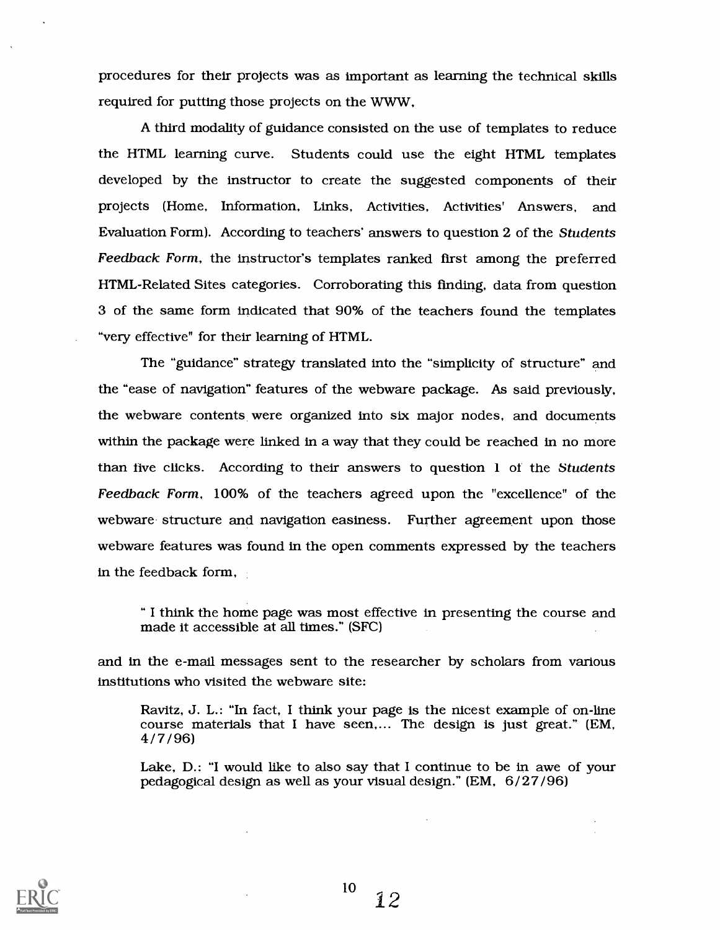procedures for their projects was as important as learning the technical skills required for putting those projects on the WWW,

A third modality of guidance consisted on the use of templates to reduce the HTML learning curve. Students could use the eight HTML templates developed by the instructor to create the suggested components of their projects (Home, Information, Links, Activities, Activities' Answers, and Evaluation Form). According to teachers' answers to question <sup>2</sup> of the Students Feedback Form, the instructor's templates ranked first among the preferred HTML-Related Sites categories. Corroborating this finding, data from question 3 of the same form indicated that 90% of the teachers found the templates "very effective" for their learning of HTML.

The "guidance" strategy translated into the "simplicity of structure" and the "ease of navigation" features of the webware package. As said previously, the webware contents were organized into six major nodes, and documents within the package were linked in a way that they could be reached in no more than live clicks. According to their answers to question  $l$  of the Students Feedback Form, 100% of the teachers agreed upon the "excellence" of the webware structure and navigation easiness. Further agreement upon those webware features was found in the open comments expressed by the teachers in the feedback form,

I think the home page was most effective in presenting the course and made it accessible at all times." (SFC)

and in the e-mail messages sent to the researcher by scholars from various institutions who visited the webware site:

Ravitz, J. L.: "In fact, I think your page is the nicest example of on-line course materials that I have seen,... The design is just great." (EM, 4/7/96)

Lake, D.: "I would like to also say that I continue to be in awe of your pedagogical design as well as your visual design." (EM, 6/27/96)

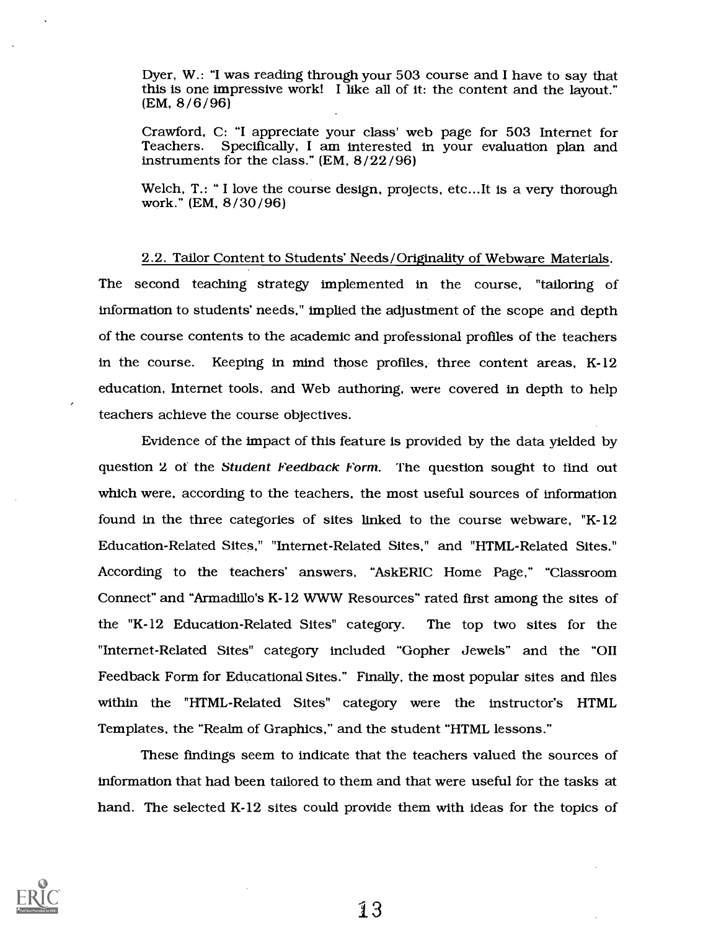Dyer, W.: "I was reading through your 503 course and I have to say that this is one impressive work! I like all of it: the content and the layout." (EM, 8/6/96)

Crawford, C: "I appreciate your class' web page for 503 Internet for Specifically, I am interested in your evaluation plan and instruments for the class." (EM, 8 /22 /96)

Welch, T.: " I love the course design, projects, etc...It is a very thorough work." (EM, 8/30/96)

2.2. Tailor Content to Students' Needs/Originality of Webware Materials The second teaching strategy implemented in the course, "tailoring of information to students' needs," implied the adjustment of the scope and depth of the course contents to the academic and professional profiles of the teachers in the course. Keeping in mind those profiles, three content areas, K-12 education, Internet tools, and Web authoring, were covered in depth to help teachers achieve the course objectives.

Evidence of the impact of this feature is provided by the data yielded by question 2 of the Student Feedback Form. The question sought to find out which were, according to the teachers, the most useful sources of information found in the three categories of sites linked to the course webware, "K-12 Education-Related Sites," "Internet-Related Sites," and "HTML-Related Sites." According to the teachers' answers, "AskERIC Home Page," "Classroom Connect" and "Armadillo's K-12 WWW Resources" rated first among the sites of the "K-12 Education-Related Sites" category. The top two sites for the "Internet-Related Sites" category included "Gopher Jewels" and the "OII Feedback Form for Educational Sites." Finally, the most popular sites and files within the "HTML-Related Sites" category were the instructor's HTML Templates, the "Realm of Graphics," and the student "HTML lessons."

These findings seem to indicate that the teachers valued the sources of information that had been tailored to them and that were useful for the tasks at hand. The selected K-12 sites could provide them with ideas for the topics of

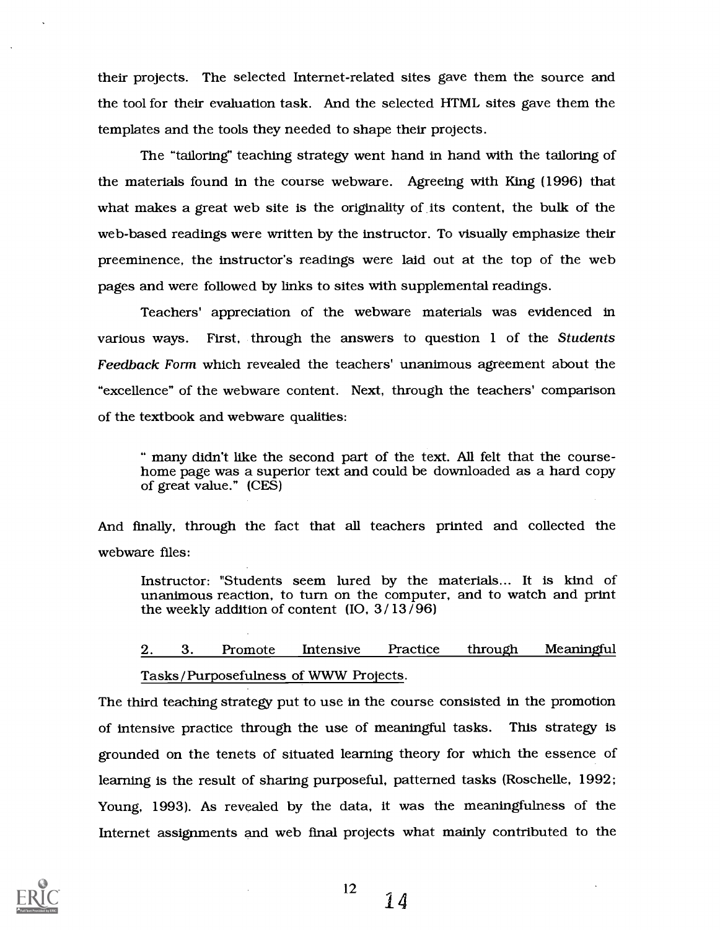their projects. The selected Internet-related sites gave them the source and the tool for their evaluation task. And the selected HTML sites gave them the templates and the tools they needed to shape their projects.

The "tailoring' teaching strategy went hand in hand with the tailoring of the materials found in the course webware. Agreeing with King (1996) that what makes a great web site is the originality of its content, the bulk of the web-based readings were written by the instructor. To visually emphasize their preeminence, the instructor's readings were laid out at the top of the web pages and were followed by links to sites with supplemental readings.

Teachers' appreciation of the webware materials was evidenced in various ways. First, through the answers to question 1 of the Students Feedback Form which revealed the teachers' unanimous agreement about the "excellence" of the webware content. Next, through the teachers' comparison of the textbook and webware qualities:

many didn't like the second part of the text. All felt that the course- home page was a superior text and could be downloaded as a hard copy of great value." (CES)

And finally, through the fact that all teachers printed and collected the webware files:

Instructor: "Students seem lured by the materials... It is kind of unanimous reaction, to turn on the computer, and to watch and print the weekly addition of content (IO,  $3/13/96$ )

# 2. 3. Promote Intensive Practice through Meaningful Tasks/Purposefulness of WWW Projects.

The third teaching strategy put to use in the course consisted in the promotion of intensive practice through the use of meaningful tasks. This strategy is grounded on the tenets of situated learning theory for which the essence of learning is the result of sharing purposeful, patterned tasks (Roschelle, 1992; Young, 1993). As revealed by the data, it was the meaningfulness of the Internet assignments and web final projects what mainly contributed to the



14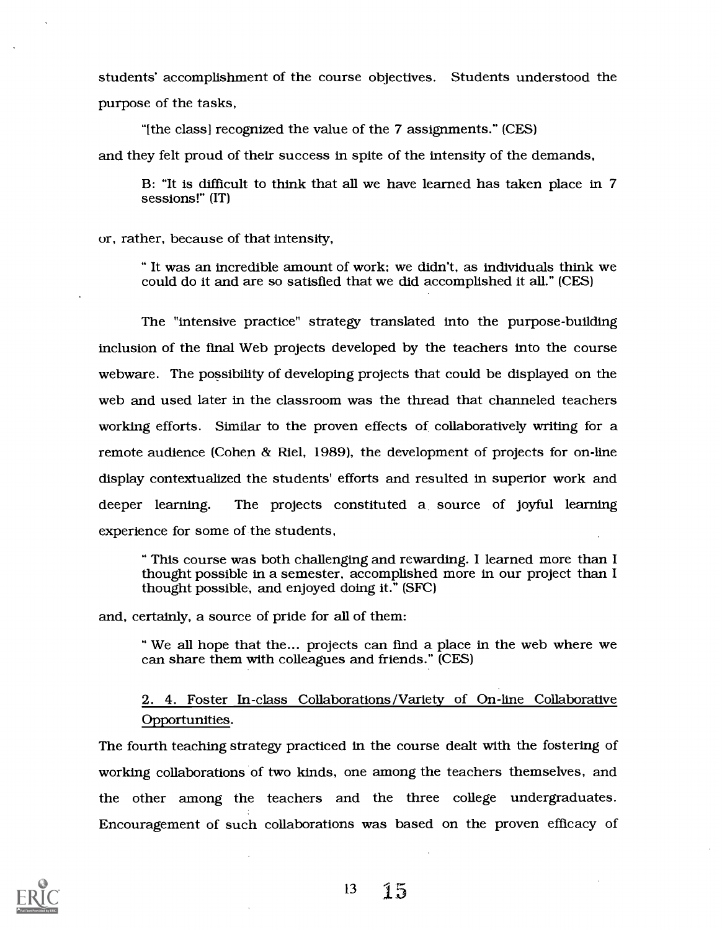students' accomplishment of the course objectives. Students understood the purpose of the tasks,

"[the class] recognized the value of the 7 assignments." (CES) and they felt proud of their success in spite of the intensity of the demands,

B: "It is difficult to think that all we have learned has taken place in 7 sessions!" (IT)

or, rather, because of that intensity,

It was an incredible amount of work; we didn't, as individuals think we could do it and are so satisfied that we did accomplished it all." (CES)

The "intensive practice" strategy translated into the purpose-building inclusion of the final Web projects developed by the teachers into the course webware. The possibility of developing projects that could be displayed on the web and used later in the classroom was the thread that channeled teachers working efforts. Similar to the proven effects of collaboratively writing for a remote audience (Cohen & Riel, 1989), the development of projects for on-line display contextualized the students' efforts and resulted in superior work and deeper learning. The projects constituted a source of joyful learning experience for some of the students,

This course was both challenging and rewarding. I learned more than I thought possible in a semester, accomplished more in our project than I thought possible, and enjoyed doing it." (SFC)

and, certainly, a source of pride for all of them:

" We all hope that the... projects can find a place in the web where we can share them with colleagues and friends." (CES)

2. 4. Foster In-class Collaborations/Variety of On-line Collaborative Opportunities.

The fourth teaching strategy practiced in the course dealt with the fostering of working collaborations of two kinds, one among the teachers themselves, and the other among the teachers and the three college undergraduates. Encouragement of such collaborations was based on the proven efficacy of

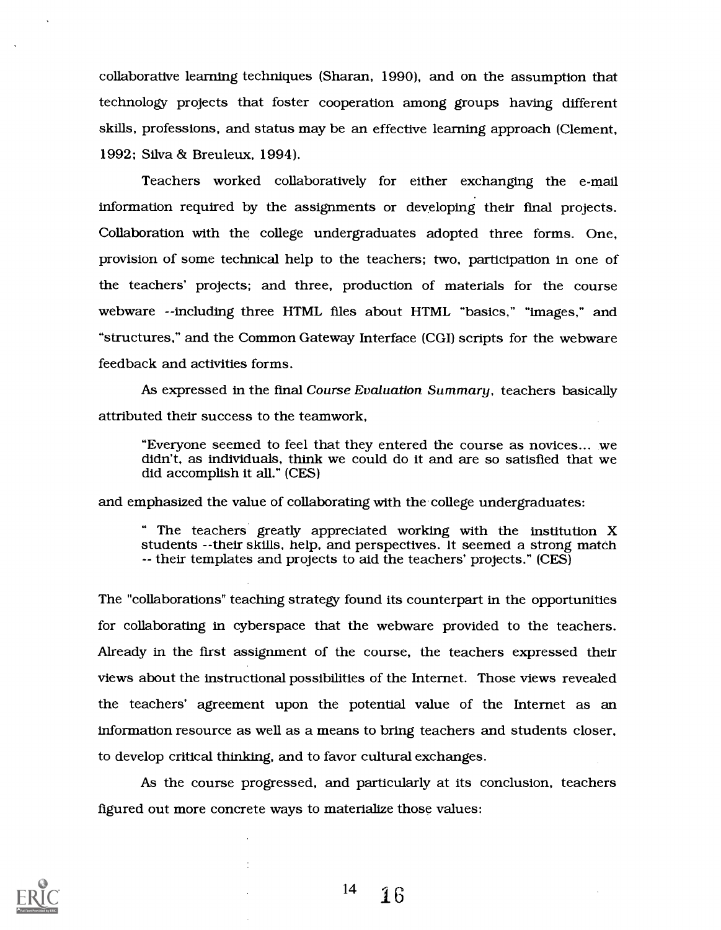collaborative learning techniques (Sharan, 1990), and on the assumption that technology projects that foster cooperation among groups having different skills, professions, and status may be an effective learning approach (Clement, 1992; Silva & Breuleux, 1994).

Teachers worked collaboratively for either exchanging the e-mail information required by the assignments or developing their final projects. Collaboration with the college undergraduates adopted three forms. One, provision of some technical help to the teachers; two, participation in one of the teachers' projects; and three, production of materials for the course webware --including three HTML files about HTML "basics," "images," and "structures," and the Common Gateway Interface (CGI) scripts for the webware feedback and activities forms.

As expressed in the final Course Evaluation Summary, teachers basically attributed their success to the teamwork,

"Everyone seemed to feel that they entered the course as novices.., we didn't, as individuals, think we could do it and are so satisfied that we did accomplish it all." (CES)

and emphasized the value of collaborating with the college undergraduates:

The teachers greatly appreciated working with the institution X students --their skills, help, and perspectives. It seemed a strong match -- their templates and projects to aid the teachers' projects." (CES)

The "collaborations" teaching strategy found its counterpart in the opportunities for collaborating in cyberspace that the webware provided to the teachers. Already in the first assignment of the course, the teachers expressed their views about the instructional possibilities of the Internet. Those views revealed the teachers' agreement upon the potential value of the Internet as an information resource as well as a means to bring teachers and students closer, to develop critical thinking, and to favor cultural exchanges.

As the course progressed, and particularly at its conclusion, teachers figured out more concrete ways to materialize those values:



 $14 \quad 16$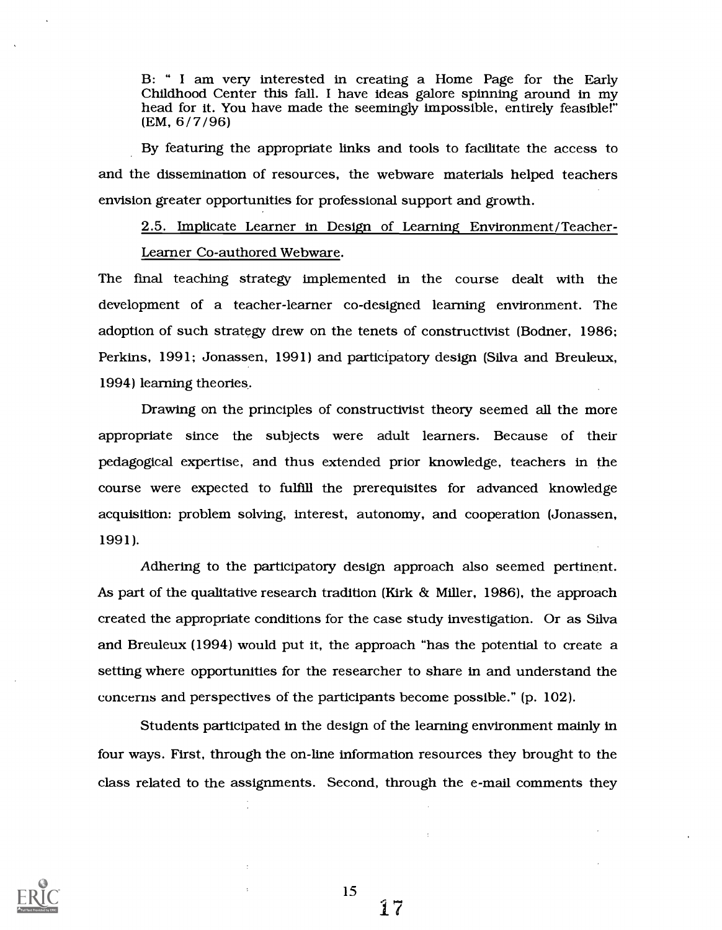B: " I am very interested in creating a Home Page for the Early Childhood Center this fall. I have ideas galore spinning around in my head for it. You have made the seemingly impossible, entirely feasible!" (EM, 6/7/96)

By featuring the appropriate links and tools to facilitate the access to and the dissemination of resources, the webware materials helped teachers envision greater opportunities for professional support and growth.

2.5. Implicate Learner in Design of Learning Environment/Teacher-

#### Learner Co-authored Webware.

The final teaching strategy implemented in the course dealt with the development of a teacher-learner co-designed learning environment. The adoption of such strategy drew on the tenets of constructivist (Bodner, 1986; Perkins, 1991; Jonassen, 1991) and participatory design (Silva and Breuleux, 1994) learning theories.

Drawing on the principles of constructivist theory seemed all the more appropriate since the subjects were adult learners. Because of their pedagogical expertise, and thus extended prior knowledge, teachers in the course were expected to fulfill the prerequisites for advanced knowledge acquisition: problem solving, interest, autonomy, and cooperation (Jonassen, 1991).

Adhering to the participatory design approach also seemed pertinent. As part of the qualitative research tradition (Kirk & Miller, 1986), the approach created the appropriate conditions for the case study investigation. Or as Silva and Breuleux (1994) would put it, the approach "has the potential to create a setting where opportunities for the researcher to share in and understand the concerns and perspectives of the participants become possible." (p. 102).

Students participated in the design of the learning environment mainly in four ways. First, through the on-line information resources they brought to the class related to the assignments. Second, through the e-mail comments they



15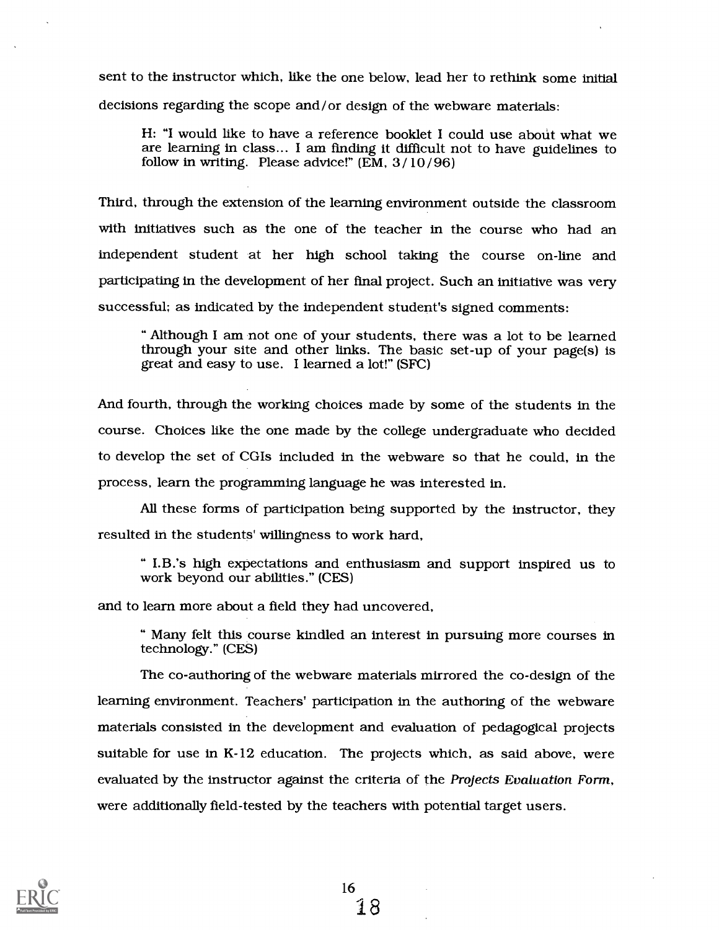sent to the instructor which, like the one below, lead her to rethink some initial decisions regarding the scope and/or design of the webware materials:

H: "I would like to have a reference booklet I could use about what we are learning in class... I am finding it difficult not to have guidelines to follow in writing. Please advice!" (EM, 3 /10 /96)

Third, through the extension of the learning environment outside the classroom with initiatives such as the one of the teacher in the course who had an independent student at her high school taking the course on-line and participating in the development of her final project. Such an initiative was very successful; as indicated by the independent student's signed comments:

Although I am not one of your students, there was a lot to be learned through your site and other links. The basic set-up of your page(s) is great and easy to use. I learned a lot!" (SFC)

And fourth, through the working choices made by some of the students in the course. Choices like the one made by the college undergraduate who decided to develop the set of CGIs included in the webware so that he could, in the process, learn the programming language he was interested in.

All these forms of participation being supported by the instructor, they resulted in the students' willingness to work hard,

" I.B.'s high expectations and enthusiasm and support inspired us to work beyond our abilities." (CES)

and to learn more about a field they had uncovered,

Many felt this course kindled an interest in pursuing more courses in technology." (CES)

The co-authoring of the webware materials mirrored the co-design of the learning environment. Teachers' participation in the authoring of the webware materials consisted in the development and evaluation of pedagogical projects suitable for use in K-12 education. The projects which, as said above, were evaluated by the instructor against the criteria of the Projects Evaluation Form, were additionally field-tested by the teachers with potential target users.

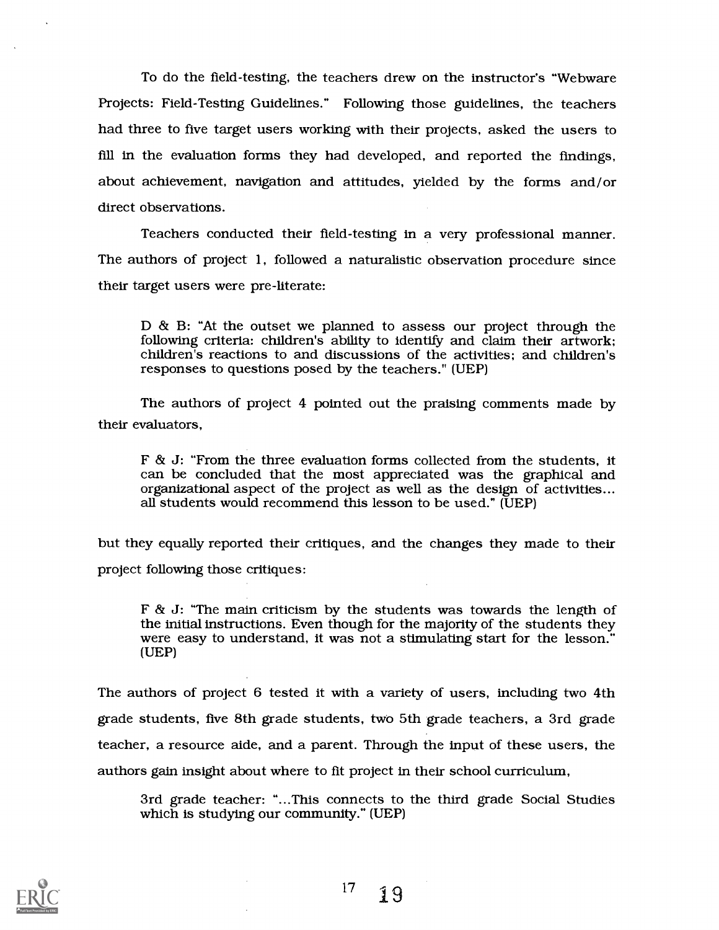To do the field-testing, the teachers drew on the instructor's "Webware Projects: Field-Testing Guidelines." Following those guidelines, the teachers had three to five target users working with their projects, asked the users to fill in the evaluation forms they had developed, and reported the findings, about achievement, navigation and attitudes, yielded by the forms and/or direct observations.

Teachers conducted their field-testing in a very professional manner. The authors of project 1, followed a naturalistic observation procedure since their target users were pre-literate:

D & B: "At the outset we planned to assess our project through the following criteria: children's ability to identify and claim their artwork; children's reactions to and discussions of the activities; and children's responses to questions posed by the teachers." (UEP)

The authors of project 4 pointed out the praising comments made by their evaluators,

F & J: "From the three evaluation forms collected from the students, it can be concluded that the most appreciated was the graphical and organizational aspect of the project as well as the design of activities... all students would recommend this lesson to be used." (UEP)

but they equally reported their critiques, and the changes they made to their project following those critiques:

 $F \& J$ : "The main criticism by the students was towards the length of the initial instructions. Even though for the majority of the students they were easy to understand, it was not a stimulating start for the lesson." (UEP)

The authors of project 6 tested it with a variety of users, including two 4th grade students, five 8th grade students, two 5th grade teachers, a 3rd grade teacher, a resource aide, and a parent. Through the input of these users, the authors gain insight about where to fit project in their school curriculum,

3rd grade teacher: "...This connects to the third grade Social Studies which is studying our community." (UEP)

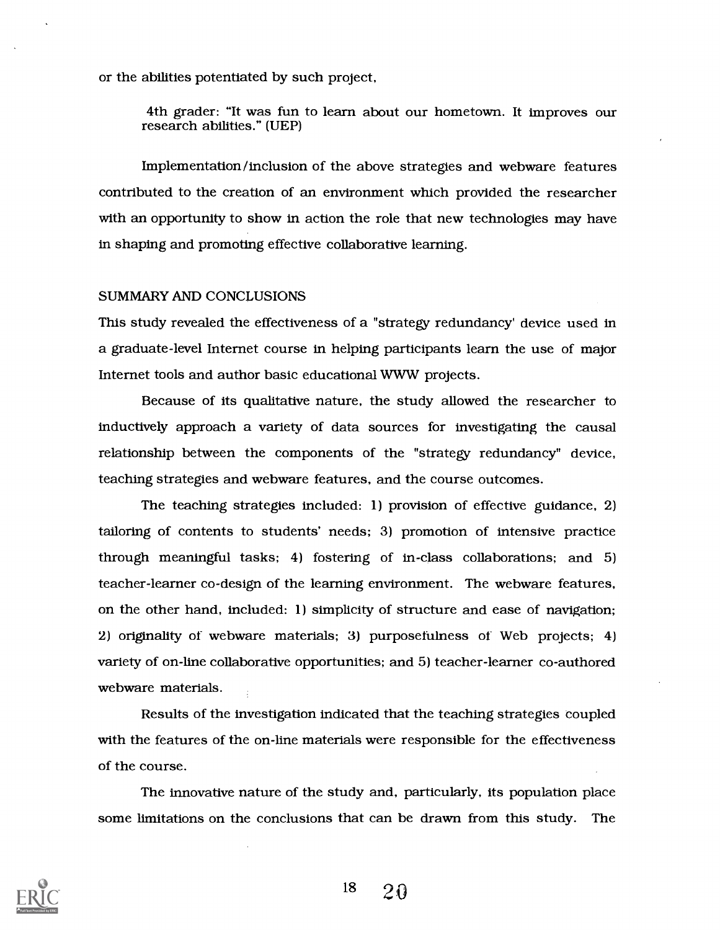or the abilities potentiated by such project,

4th grader: "It was fun to learn about our hometown. It improves our research abilities." (UEP)

Implementation/inclusion of the above strategies and webware features contributed to the creation of an environment which provided the researcher with an opportunity to show in action the role that new technologies may have in shaping and promoting effective collaborative learning.

#### SUMMARY AND CONCLUSIONS

This study revealed the effectiveness of a "strategy redundancy' device used in a graduate-level Internet course in helping participants learn the use of major Internet tools and author basic educational WWW projects.

Because of its qualitative nature, the study allowed the researcher to inductively approach a variety of data sources for investigating the causal relationship between the components of the "strategy redundancy" device, teaching strategies and webware features, and the course outcomes.

The teaching strategies included: 1) provision of effective guidance, 2) tailoring of contents to students' needs; 3) promotion of intensive practice through meaningful tasks; 4) fostering of in-class collaborations; and 5) teacher-learner co-design of the learning environment. The webware features, on the other hand, included: 1) simplicity of structure and ease of navigation; 2) originality of webware materials; 3) purposefulness of Web projects; 4) variety of on-line collaborative opportunities; and 5) teacher-learner co-authored webware materials.

Results of the investigation indicated that the teaching strategies coupled with the features of the on-line materials were responsible for the effectiveness of the course.

The innovative nature of the study and, particularly, its population place some limitations on the conclusions that can be drawn from this study. The

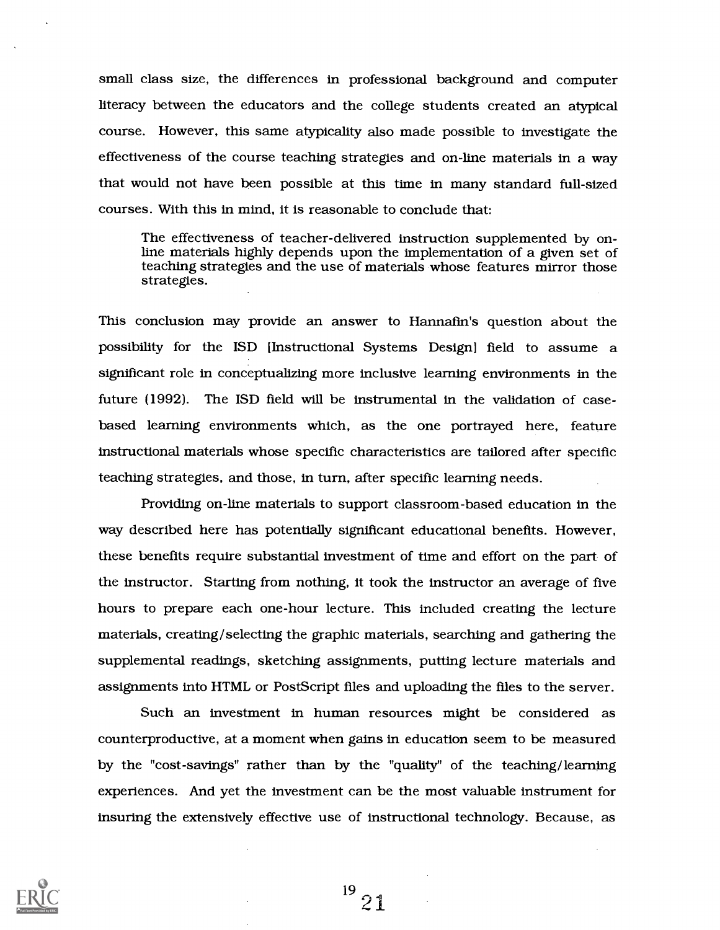small class size, the differences in professional background and computer literacy between the educators and the college students created an atypical course. However, this same atypicality also made possible to investigate the effectiveness of the course teaching strategies and on-line materials in a way that would not have been possible at this time in many standard full-sized courses. With this in mind, it is reasonable to conclude that:

The effectiveness of teacher-delivered instruction supplemented by online materials highly depends upon the implementation of a given set of teaching strategies and the use of materials whose features mirror those strategies.

This conclusion may provide an answer to Hannafin's question about the possibility for the ISD [Instructional Systems Design] field to assume a significant role in conceptualizing more inclusive learning environments in the future (1992). The ISD field will be instrumental in the validation of casebased learning environments which, as the one portrayed here, feature instructional materials whose specific characteristics are tailored after specific teaching strategies, and those, in turn, after specific learning needs.

Providing on-line materials to support classroom-based education in the way described here has potentially significant educational benefits. However, these benefits require substantial investment of time and effort on the part of the instructor. Starting from nothing, it took the instructor an average of five hours to prepare each one-hour lecture. This included creating the lecture materials, creating/selecting the graphic materials, searching and gathering the supplemental readings, sketching assignments, putting lecture materials and assignments into HTML or PostScript files and uploading the files to the server.

Such an investment in human resources might be considered as counterproductive, at a moment when gains in education seem to be measured by the "cost-savings" rather than by the "quality" of the teaching/learning experiences. And yet the investment can be the most valuable instrument for insuring the extensively effective use of instructional technology. Because, as



 $^{19}$  21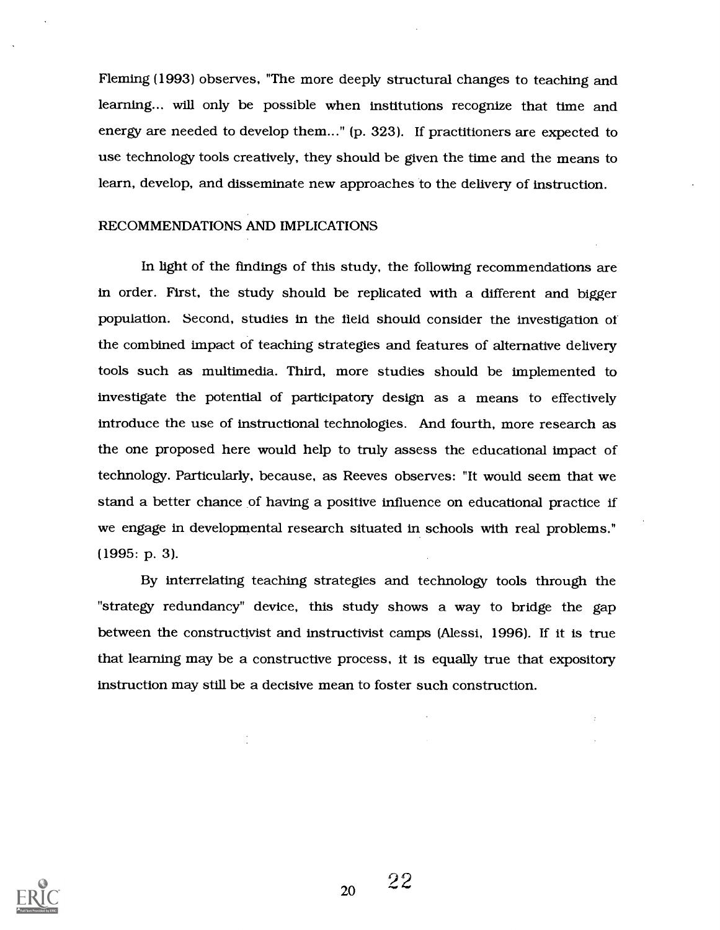Fleming (1993) observes, "The more deeply structural changes to teaching and learning.., will only be possible when institutions recognize that time and energy are needed to develop them..." (p. 323). If practitioners are expected to use technology tools creatively, they should be given the time and the means to learn, develop, and disseminate new approaches to the delivery of instruction.

#### RECOMMENDATIONS AND IMPLICATIONS

In light of the findings of this study, the following recommendations are in order. First, the study should be replicated with a different and bigger population. Second, studies in the field should consider the investigation of the combined impact of teaching strategies and features of alternative delivery tools such as multimedia. Third, more studies should be implemented to investigate the potential of participatory design as a means to effectively introduce the use of instructional technologies. And fourth, more research as the one proposed here would help to truly assess the educational impact of technology. Particularly, because, as Reeves observes: "It would seem that we stand a better chance of having a positive influence on educational practice if we engage in developmental research situated in schools with real problems." (1995: p. 3).

By interrelating teaching strategies and technology tools through the "strategy redundancy" device, this study shows a way to bridge the gap between the constructivist and instructivist camps (Alessi, 1996). If it is true that learning may be a constructive process, it is equally true that expository instruction may still be a decisive mean to foster such construction.

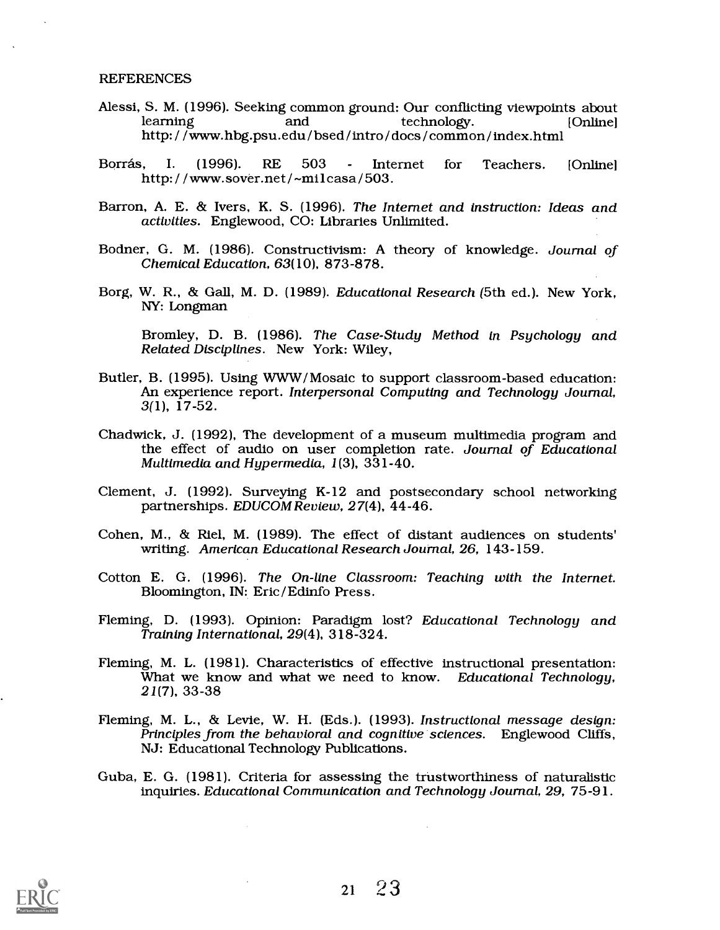#### **REFERENCES**

- Alessi, S. M. (1996). Seeking common ground: Our conflicting viewpoints about http://www.hbg.psu.edu/bsed/intro/docs/common/index.html
- Borrás, I. (1996). RE 503 Internet for Teachers. [Online]<br>http://www.sover.net/~milcasa/503.
- Barron, A. E. & Ivers, K. S. (1996). The Internet and instruction: Ideas and activities. Englewood, CO: Libraries Unlimited.
- Bodner, G. M. (1986). Constructivism: A theory of knowledge. Journal of Chemical Education, 63(10), 873-878.
- Borg, W. R., & Gall, M. D. (1989). Educational Research (5th ed.). New York, NY: Longman

Bromley, D. B. (1986). The Case-Study Method in Psychology and Related Disciplines. New York: Wiley,

- Butler, B. (1995). Using WWW/ Mosaic to support classroom-based education: An experience report. Interpersonal Computing and Technology Journal, 3(1), 17-52.
- Chadwick, J. (1992), The development of a museum multimedia program and the effect of audio on user completion rate. Journal of Educational Multimedia and Hypermedia,  $1(3)$ ,  $331-40$ .
- Clement, J. (1992). Surveying K-12 and postsecondary school networking partnerships. EDUCOM Review, 27(4), 44-46.
- Cohen, M., & Riel, M. (1989). The effect of distant audiences on students' writing. American Educational Research Journal, 26, 143-159.
- Cotton E. G. (1996). The On-line Classroom: Teaching with the Internet. Bloomington, IN: Eric /Edinfo Press.
- Fleming, D. (1993). Opinion: Paradigm lost? Educational Technology and Training International, 29(4), 318-324.
- Fleming, M. L. (1981). Characteristics of effective instructional presentation: What we know and what we need to know. Educational Technology, 21(7), 33-38
- Fleming, M. L., & Levie, W. H. (Eds.). (1993). Instructional message design: Principles from the behavioral and cognitive sciences. Englewood Cliffs, NJ: Educational Technology Publications.
- Guba, E. G. (1981). Criteria for assessing the trustworthiness of naturalistic inquiries. Educational Communication and Technology Journal, 29, 75-91.

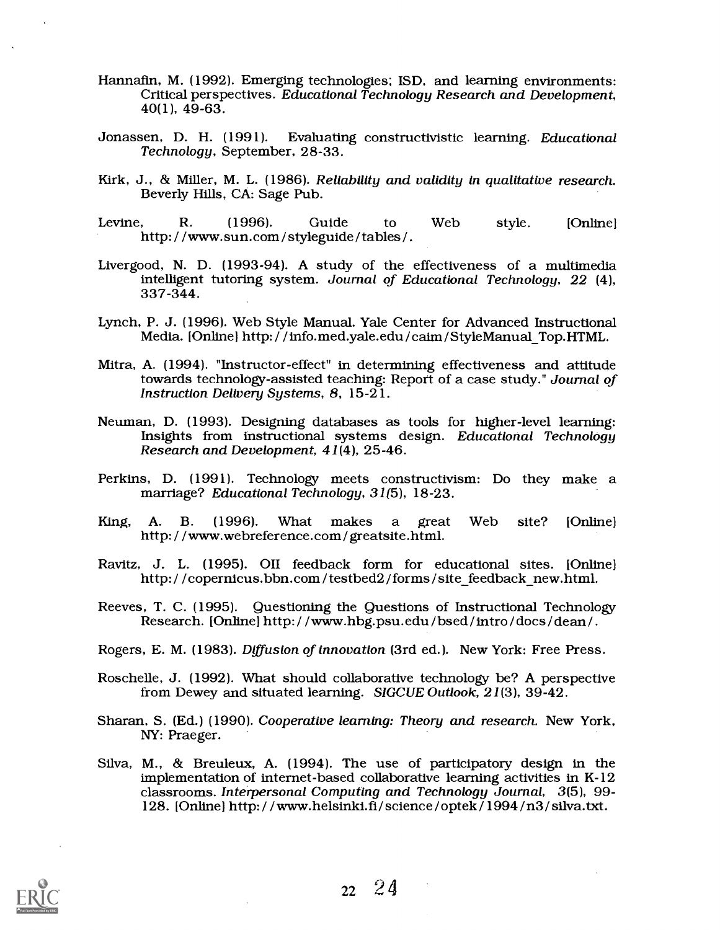- Hannafin, M. (1992). Emerging technologies; ISD, and learning environments:<br>Critical perspectives. Educational Technology Research and Development,<br>40(1), 49-63.
- Jonassen, D. H. (1991). Evaluating constructivistic learning. Educational Technology, September, 28-33.
- Kirk, J., & Miller, M. L. (1986). Reliability and validity in qualitative research. Beverly Hills, CA: Sage Pub.
- Levine, R. (1996). Guide to Web style. [Online] http:/ /www.sun.com /styleguide /tables /.
- Livergood, N. D. (1993-94). A study of the effectiveness of a multimedia intelligent tutoring system. Journal of Educational Technology, 22 (4), 337-344.
- Lynch, P. J. (1996). Web Style Manual. Yale Center for Advanced Instructional Media. [Online] http:/ /info.med.yale.edu/caim/StyleManual\_Top.HTML.
- Mitra, A. (1994). "Instructor-effect" in determining effectiveness and attitude towards technology-assisted teaching: Report of a case study." Journal of Instruction Delivery Systems, 8, 15-21.
- Neuman, D. (1993). Designing databases as tools for higher-level learning: Insights from instructional systems design. Educational Technology Research and Development, 41(4), 25-46.
- Perkins, D. (1991). Technology meets constructivism: Do they make a marriage? Educational Technology, 31(5), 18-23.
- King, A. B. (1996). What makes a great Web site? [Online] A. B. (1996). What makes a great http://www.webreference.com/greatsite.html.
- Ravitz, J. L. (1995). OII feedback form for educational sites. [Online] http://copernicus.bbn.com/testbed2/forms/sitefeedback\_new.html.
- Reeves, T. C. (1995). Questioning the Questions of Instructional Technology Research. [Online] http: / / www.hbg.psu.edu /bsed / intro / docs / dean / .
- Rogers, E. M. (1983). Diffusion of innovation (3rd ed.). New York: Free Press.
- Roschelle, J. (1992). What should collaborative technology be? A perspective from Dewey and situated learning. SIGCUE Outlook, 21(3), 39-42.
- Sharan, S. (Ed.) (1990). Cooperative learning: Theory and research. New York, NY: Praeger.
- Silva, M., & Breuleux, A. (1994). The use of participatory design in the implementation of internet-based collaborative learning activities in K-12 classrooms. Interpersonal Computing and Technology Journal, 3(5), 99- 128. [Online] http: / /www.helsinki.fi/ science / optek / 1994 / n3 / silva.txt.

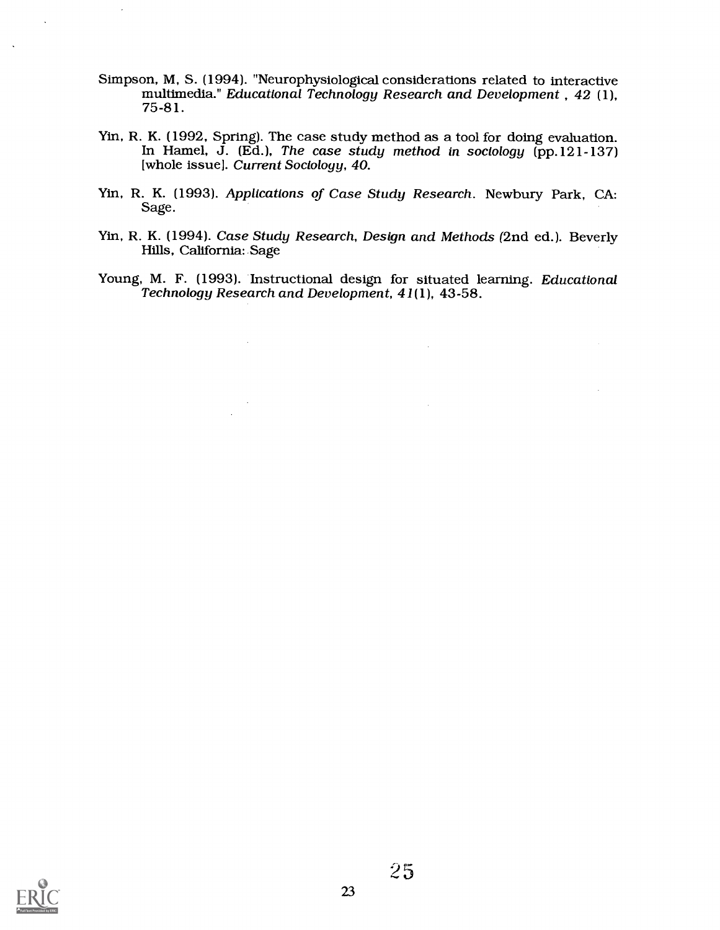Simpson, M, S. (1994). "Neurophysiological considerations related to interactive multimedia." Educational Technology Research and Development , 42 (1), 75 -81.

 $\overline{\phantom{a}}$ 

 $\ddot{\phantom{a}}$ 

 $\ddot{\phantom{a}}$ 

- Yin, R. K. (1992, Spring). The case study method as a tool for doing evaluation. In Hamel, J. (Ed. ), The case study method in sociology (pp. 121 137) [whole issue]. Current Sociology, 40.
- Yin, R. K. (1993). Applications of Case Study Research. Newbury Park, CA: Sage.
- Yin, R. K. (1994). Case Study Research, Design and Methods (2nd ed.). Beverly Hills, California: Sage
- Young, M. F. (1993). Instructional design for situated learning. Educational Technology Research and Development, 41(1), 43-58.

 $\sim$ 

 $\mathcal{A}^{\mathcal{A}}$ 

 $\mathcal{L}$ 

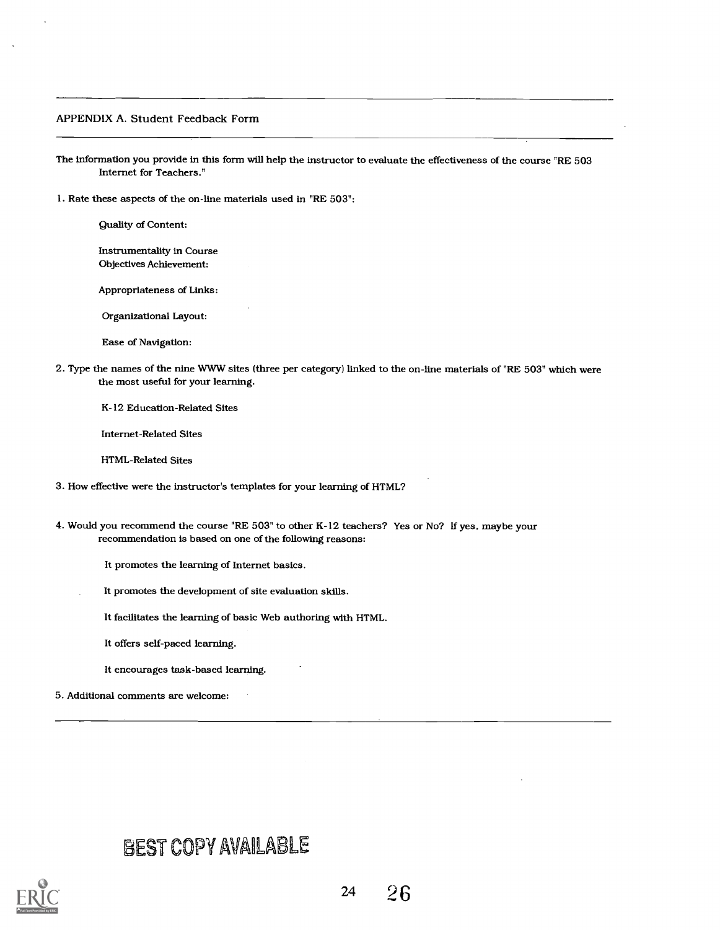#### APPENDIX A. Student Feedback Form

The information you provide in this form will help the instructor to evaluate the effectiveness of the course "RE 503 Internet for Teachers."

1. Rate these aspects of the on-line materials used in "RE 503":

Quality of Content:

Instrumentality in Course Objectives Achievement:

Appropriateness of Links:

Organizational Layout:

Ease of Navigation:

2. Type the names of the nine WWW sites (three per category) linked to the on-line materials of "RE 503" which were the most useful for your learning.

K-12 Education-Related Sites

Internet-Related Sites

HTML-Related Sites

- 3. How effective were the instructor's templates for your learning of HTML?
- 4. Would you recommend the course "RE 503" to other K-12 teachers? Yes or No? If yes, maybe your recommendation is based on one of the following reasons:
	- It promotes the learning of Internet basics.
	- It promotes the development of site evaluation skills.
		- It facilitates the learning of basic Web authoring with HTML.

It offers self-paced learning.

It encourages task-based learning.

5. Additional comments are welcome:

# BEST COPY AVAILABLE

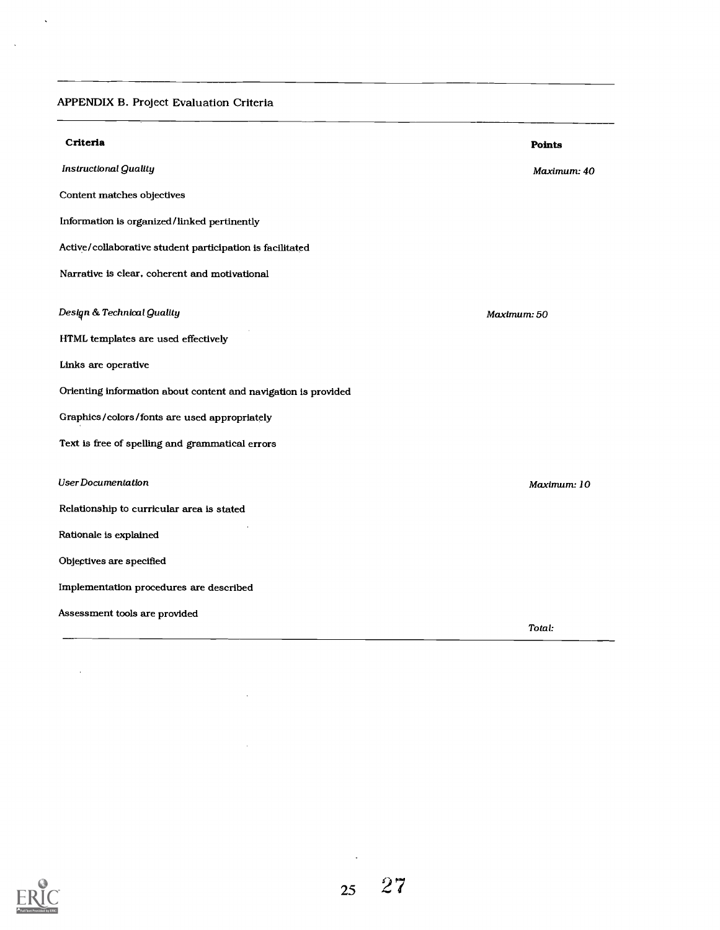# APPENDIX B. Project Evaluation Criteria

 $\Delta$ 

 $\sim$   $\sim$ 

| Criteria                                                       | <b>Points</b> |
|----------------------------------------------------------------|---------------|
| <b>Instructional Quality</b>                                   | Maximum: 40   |
| Content matches objectives                                     |               |
| Information is organized/linked pertinently                    |               |
| Active/collaborative student participation is facilitated      |               |
| Narrative is clear, coherent and motivational                  |               |
| Design & Technical Quality                                     | Maximum: 50   |
| HTML templates are used effectively                            |               |
| Links are operative                                            |               |
| Orienting information about content and navigation is provided |               |
| Graphics/colors/fonts are used appropriately                   |               |
| Text is free of spelling and grammatical errors                |               |
| User Documentation                                             | Maximum: 10   |
| Relationship to curricular area is stated                      |               |
| Rationale is explained                                         |               |
| Objectives are specified                                       |               |
| Implementation procedures are described                        |               |
| Assessment tools are provided                                  |               |
|                                                                | Total:        |

 $\sim 10$ 

 $\sim 10^7$ 



 $\sim 10^7$ 

 $\epsilon$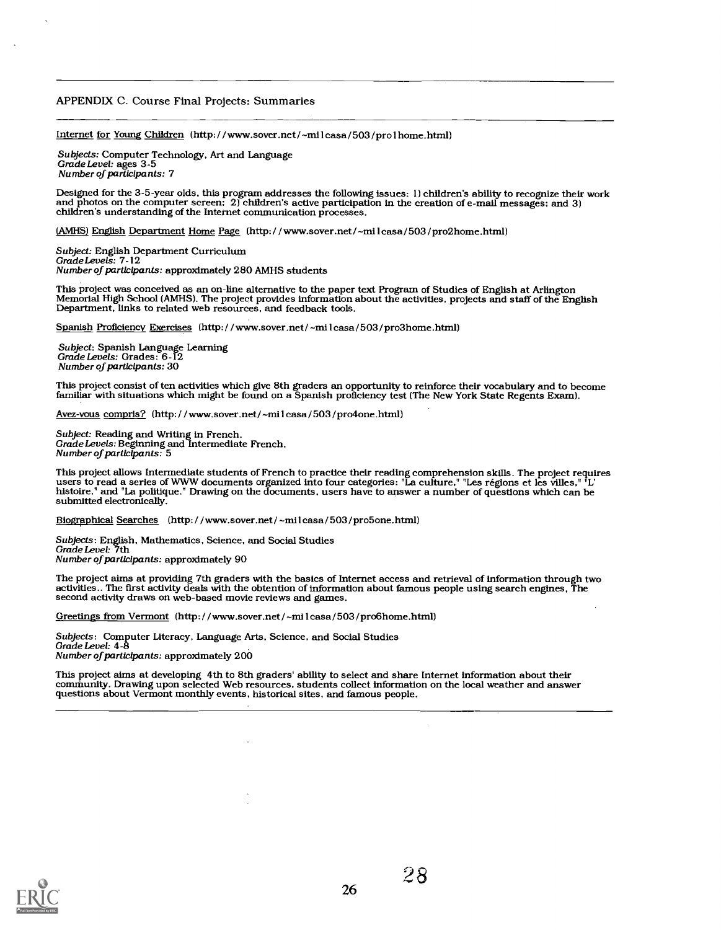#### APPENDIX C. Course Final Projects: Summaries

Internet for Young Children (http: / / www.sover.net/ -milcasa / 503 / prolhome. html)

Subjects: Computer Technology, Art and Language<br>Grade Level: ages 3-5<br>Number of participants: 7

Designed for the 3-5-year olds, this program addresses the following issues: 1) children's ability to recognize their work<br>and photos on the computer screen: 2) children's active participation in the creation of e-mail mes

(AMHS) English Department Home Page (http: / / www.sover.net/ -milcasa /503 /pro2home.html)

Subject: English Department Curriculum Grade Levels: 7-12 Number of participants: approximately 280 AMHS students

This project was conceived as an on-line alternative to the paper text Program of Studies of English at Arlington<br>Memorial High School (AMHS). The project provides information about the activities, projects and staff of th

Spanish Proficiency Exercises (http: / / www.sover.net / -milcasa /503 /pro3home.html)

Subject: Spanish Language Learning Grade Levels: Grades: 6-12 Number of participants: 30

This project consist of ten activities which give 8th graders an opportunity to reinforce their vocabulary and to become familiar with situations which might be found on a Spanish proficiency test (The New York State Regents Exam).

Avez-vous compris? (http: / / www.sover.net / -milcasa /503 /pro4one .html)

Subject: Reading and Writing in French.<br>Grade Levels: Beginning and Intermediate French.<br>Number of participants: 5

This project allows Intermediate students of French to practice their reading comprehension skills. The project requires<br>users to read a series of WWW documents organized into four categories: "La culture," "Les régions et

Biographical Searches (http://www.sover.net/~milcasa/503/pro5one.html)

Subjects: English, Mathematics, Science, and Social Studies Grade Level: 7th Number of participants: approximately 90

The project aims at providing 7th graders with the basics of Internet access and retrieval of information through two activities.. The first activity deals with the obtention of information about famous people using search engines. The second activity draws on web-based movie reviews and games.

Greetings from Vermont (http: / / www.sover.net/ -milcasa / 503 /pro6home.html)

Subjects: Computer Literacy, Language Arts, Science, and Social Studies<br>Grade Level: 4-8 Number of participants: approximately 200

This project aims at developing 4th to 8th graders' ability to select and share Internet information about their community. Drawing upon selected Web resources, students collect information on the local weather and answer

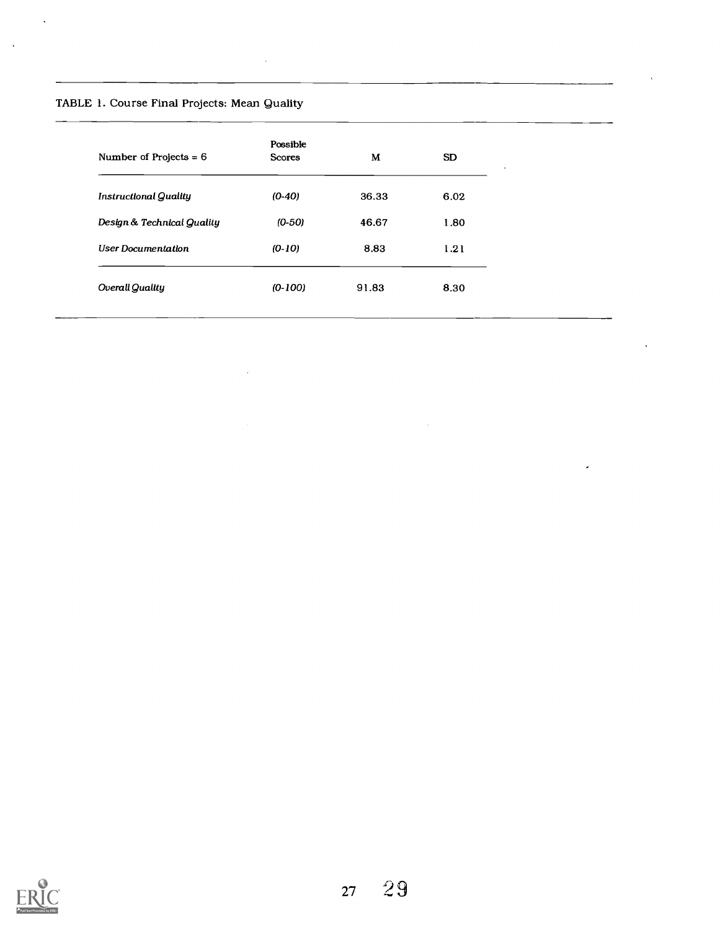# TABLE 1. Course Final Projects: Mean Quality

 $\bar{\mathcal{A}}$ 

 $\hat{\mathcal{A}}$ 

 $\mathcal{L}$ 

 $\sim$   $\sim$ 

| Number of Projects $= 6$     | Possible<br><b>Scores</b> | М     | SD.  |
|------------------------------|---------------------------|-------|------|
| <b>Instructional Quality</b> | $(0-40)$                  | 36.33 | 6.02 |
| Design & Technical Quality   | $(0-50)$                  | 46.67 | 1.80 |
| <b>User Documentation</b>    | $(0-10)$                  | 8.83  | 1.21 |
| Overall Quality              | $(0-100)$                 | 91.83 | 8.30 |

 $\bar{z}$ 

 $\ddot{\phantom{1}}$ 

 $\epsilon$ 

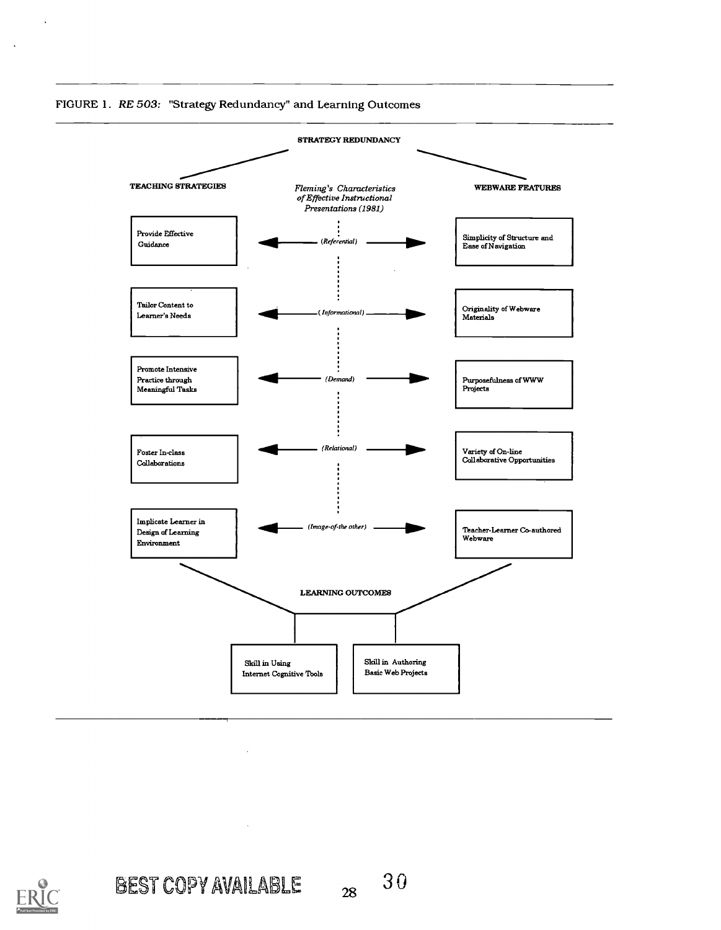



 $\ddot{\phantom{a}}$ 

 $\ddot{\phantom{a}}$ 

BEST COPY AVAILABLE  $_{28}$  30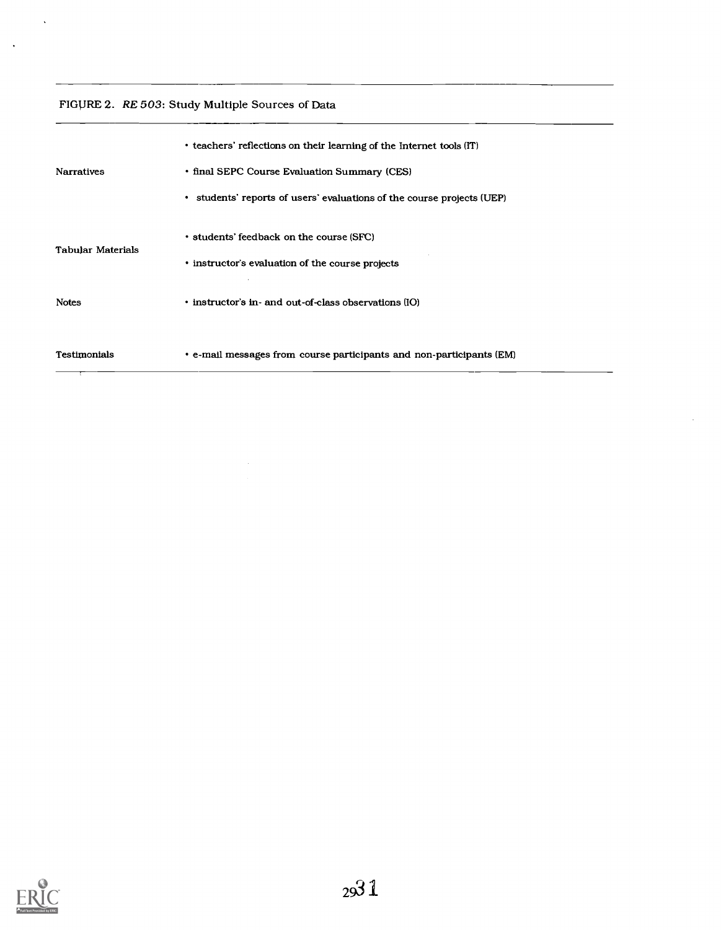## FIGVRE 2. RE 503: Study Multiple Sources of Data

 $\mathcal{L}^{\pm}$ 

 $\sim$   $\sim$ 

|                   | • teachers' reflections on their learning of the Internet tools (IT)                         |
|-------------------|----------------------------------------------------------------------------------------------|
| <b>Narratives</b> | • final SEPC Course Evaluation Summary (CES)                                                 |
|                   | • students' reports of users' evaluations of the course projects (UEP)                       |
| Tabular Materials | • students' feedback on the course (SFC)<br>• instructor's evaluation of the course projects |
| <b>Notes</b>      | • instructor's in- and out-of-class observations (IO)                                        |
| Testimonials      | • e-mail messages from course participants and non-participants (EM)                         |

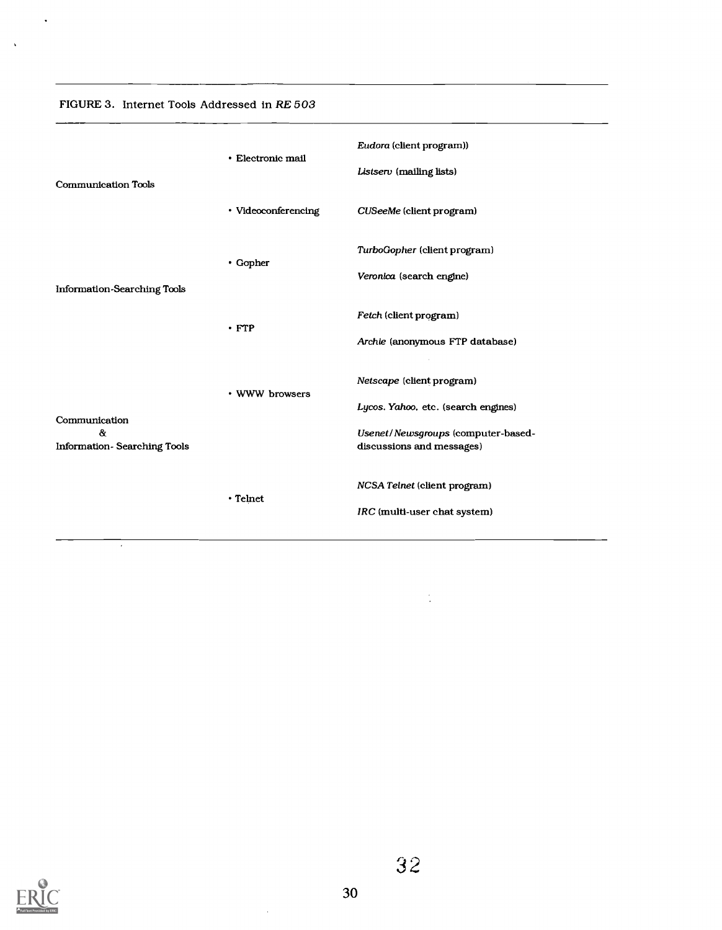| FIGURE 3. Internet Tools Addressed in RE 503 |  |
|----------------------------------------------|--|
|----------------------------------------------|--|

 $\ddot{\phantom{a}}$ 

 $\bar{\mathbf{v}}$ 

|                                    | • Electronic mail   | Eudora (client program))                                                  |  |
|------------------------------------|---------------------|---------------------------------------------------------------------------|--|
| <b>Communication Tools</b>         | • Videoconferencing | Listserv (mailing lists)<br>CUSeeMe (client program)                      |  |
|                                    |                     | TurboGopher (client program)                                              |  |
| <b>Information-Searching Tools</b> | $\cdot$ Gopher      | Veronica (search engine)                                                  |  |
|                                    | $\cdot$ FTP         | Fetch (client program)<br>Archie (anonymous FTP database)                 |  |
|                                    | • WWW browsers      | Netscape (client program)                                                 |  |
| Communication<br>$\alpha$          |                     | Lycos. Yahoo, etc. (search engines)<br>Usenet/Newsgroups (computer-based- |  |
| <b>Information-Searching Tools</b> |                     | discussions and messages)                                                 |  |
|                                    | • Telnet            | NCSA Telnet (client program)<br>IRC (multi-user chat system)              |  |
|                                    |                     |                                                                           |  |



 $\overline{\phantom{a}}$ 

 $\frac{1}{2}$ 

 $\mathcal{A}$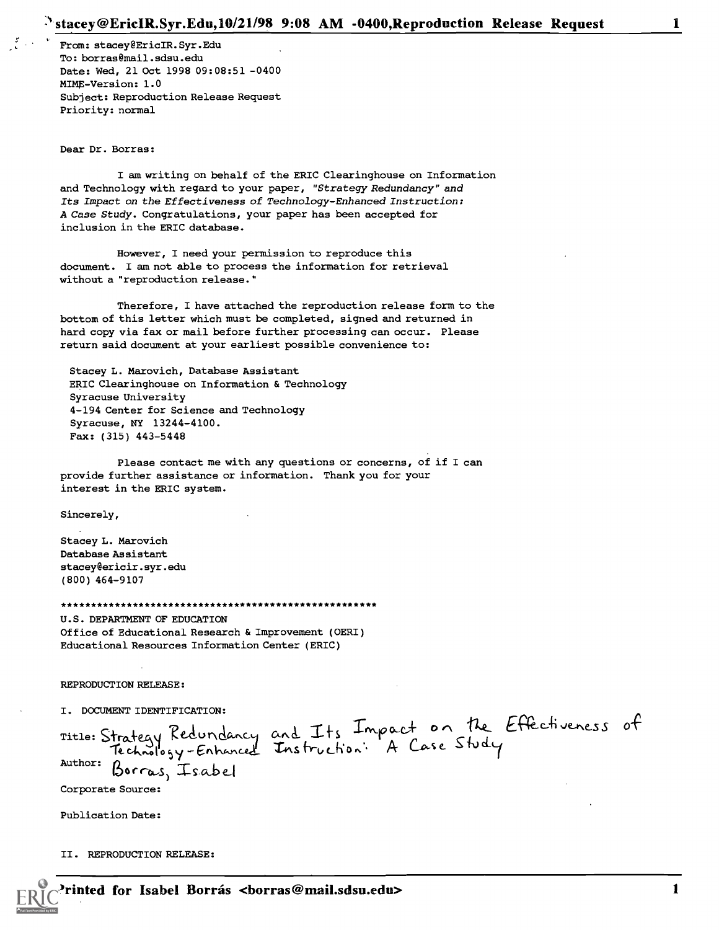From: st acey @ Eric IR. Syr .Edu To: borras@mail.sdsu.edu Date: Wed, 21 Oct 1998 09:08:51 -0400 MIME-Version: 1.0 Subject: Reproduction Release Request Priority: normal

Dear Dr. Borras:

I am writing on behalf of the ERIC Clearinghouse on Information and Technology with regard to your paper, "Strategy Redundancy" and Its Impact on the Effectiveness of Technology-Enhanced Instruction: A Case Study. Congratulations, your paper has been accepted for inclusion in the ERIC database.

However, I need your permission to reproduce this document. I am not able to process the information for retrieval without a "reproduction release."

Therefore, I have attached the reproduction release form to the bottom of this letter which must be completed, signed and returned in hard copy via fax or mail before further processing can occur. Please return said document at your earliest possible convenience to:

Stacey L. Marovich, Database Assistant ERIC Clearinghouse on Information & Technology Syracuse University 4-194 Center for Science and Technology Syracuse, NY 13244-4100. Fax: (315) 443-5448

Please contact me with any questions or concerns, of if I can provide further assistance or information. Thank you for your interest in the ERIC system.

Sincerely,

Stacey L. Marovich Database Assistant stacey@ericir.syr.edu (800) 464-9107

\*\*\*\*\*\*\*\*\*\*\*\*\*\*\*\*\*\*\*\*\*\*\*\*\*\*\*\*\*\*\*\*\*\*\*\*\*\*\*\*\*\*\*\*\*\*\*\*\*\*\*\*\* U.S. DEPARTMENT OF EDUCATION Office of Educational Research & Improvement (OERI) Educational Resources Information Center (ERIC)

REPRODUCTION RELEASE:

I. DOCUMENT IDENTIFICATION:

Title: Strategy Recundancy and  $Enhanced$  $\frac{a_{\text{author}}}{b_{\text{arcas}} + 1}$  sat and Its Impact on the Effectiveness of fruction: A Case Stur

Corporate Source:

Publication Date:

II. REPRODUCTION RELEASE: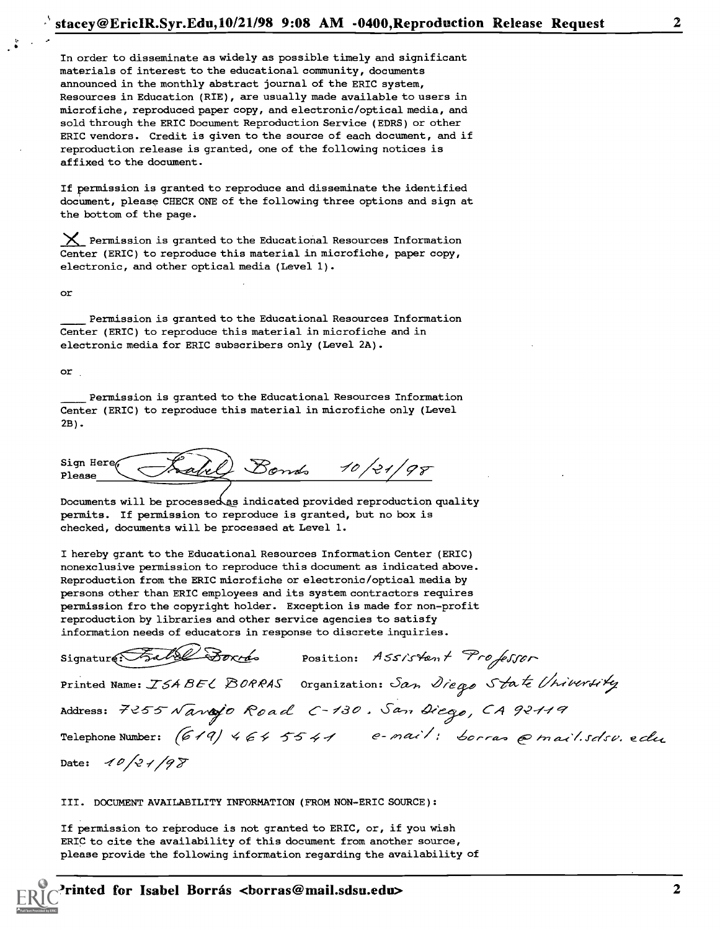In order to disseminate as widely as possible timely and significant materials of interest to the educational community, documents announced in the monthly abstract journal of the ERIC system, Resources in Education (RIE), are usually made available to users in microfiche, reproduced paper copy, and electronic/optical media, and sold through the ERIC Document Reproduction Service (EDRS) or other ERIC vendors. Credit is given to the source of each document, and if reproduction release is granted, one of the following notices is affixed to the document.

If permission is granted to reproduce and disseminate the identified document, please CHECK ONE of the following three options and sign at the bottom of the page.

 $X$  Permission is granted to the Educational Resources Information Center (ERIC) to reproduce this material in microfiche, paper copy, electronic, and other optical media (Level 1) .

Or

Permission is granted to the Educational Resources Information Center (ERIC) to reproduce this material in microfiche and in electronic media for ERIC subscribers only (Level 2A) .

or

Permission is granted to the Educational Resources Information Center (ERIC) to reproduce this material in microfiche only (Level 2B).

| Sign Here <sub>(</sub><br>-Salul | Donds | $21/0\sigma$ |
|----------------------------------|-------|--------------|
|                                  |       |              |

Documents will be processed as indicated provided reproduction quality permits. If permission to reproduce is granted, but no box is checked, documents will be processed at Level 1.

I hereby grant to the Educational Resources Information Center (ERIC) nonexclusive permission to reproduce this document as indicated above. Reproduction from the ERIC microfiche or electronic/optical media by persons other than ERIC employees and its system contractors requires permission fro the copyright holder. Exception is made for non-profit reproduction by libraries and other service agencies to satisfy information needs of educators in response to discrete inquiries.

| Signature: Fall Doxrés position: ASSIStent Professor                                     |
|------------------------------------------------------------------------------------------|
| Printed Name: ISABEL BORRAS Organization: San Diego State University                     |
| Address: 7255 Navajo Road C-130. San Diego, CA 92119                                     |
| $\mathcal{F}$ elephone Number: (619) 464 5541 e-mail: borras $\mathcal{P}$ mail.sdsv.edu |

Date:  $10/21/98$ 

III. DOCUMENT AVAILABILITY INFORMATION (FROM NON-ERIC SOURCE) :

If permission to reproduce is not granted to ERIC, or, if you wish ERIC to cite the availability of this document from another source, please provide the following information regarding the availability of